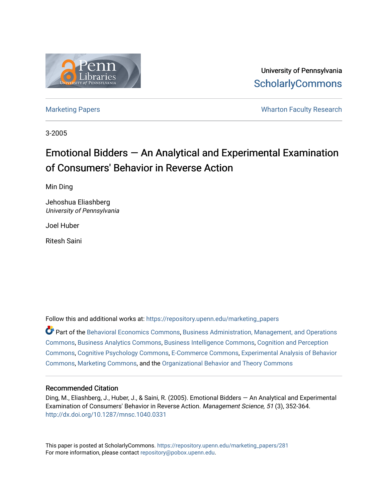

University of Pennsylvania **ScholarlyCommons** 

[Marketing Papers](https://repository.upenn.edu/marketing_papers) **Marketing Papers Marketing Papers Wharton Faculty Research** 

3-2005

# Emotional Bidders — An Analytical and Experimental Examination of Consumers' Behavior in Reverse Action

Min Ding

Jehoshua Eliashberg University of Pennsylvania

Joel Huber

Ritesh Saini

Follow this and additional works at: [https://repository.upenn.edu/marketing\\_papers](https://repository.upenn.edu/marketing_papers?utm_source=repository.upenn.edu%2Fmarketing_papers%2F281&utm_medium=PDF&utm_campaign=PDFCoverPages)

Part of the [Behavioral Economics Commons](http://network.bepress.com/hgg/discipline/341?utm_source=repository.upenn.edu%2Fmarketing_papers%2F281&utm_medium=PDF&utm_campaign=PDFCoverPages), [Business Administration, Management, and Operations](http://network.bepress.com/hgg/discipline/623?utm_source=repository.upenn.edu%2Fmarketing_papers%2F281&utm_medium=PDF&utm_campaign=PDFCoverPages)  [Commons](http://network.bepress.com/hgg/discipline/623?utm_source=repository.upenn.edu%2Fmarketing_papers%2F281&utm_medium=PDF&utm_campaign=PDFCoverPages), [Business Analytics Commons,](http://network.bepress.com/hgg/discipline/1398?utm_source=repository.upenn.edu%2Fmarketing_papers%2F281&utm_medium=PDF&utm_campaign=PDFCoverPages) [Business Intelligence Commons,](http://network.bepress.com/hgg/discipline/1326?utm_source=repository.upenn.edu%2Fmarketing_papers%2F281&utm_medium=PDF&utm_campaign=PDFCoverPages) [Cognition and Perception](http://network.bepress.com/hgg/discipline/407?utm_source=repository.upenn.edu%2Fmarketing_papers%2F281&utm_medium=PDF&utm_campaign=PDFCoverPages) [Commons](http://network.bepress.com/hgg/discipline/407?utm_source=repository.upenn.edu%2Fmarketing_papers%2F281&utm_medium=PDF&utm_campaign=PDFCoverPages), [Cognitive Psychology Commons](http://network.bepress.com/hgg/discipline/408?utm_source=repository.upenn.edu%2Fmarketing_papers%2F281&utm_medium=PDF&utm_campaign=PDFCoverPages), [E-Commerce Commons,](http://network.bepress.com/hgg/discipline/624?utm_source=repository.upenn.edu%2Fmarketing_papers%2F281&utm_medium=PDF&utm_campaign=PDFCoverPages) [Experimental Analysis of Behavior](http://network.bepress.com/hgg/discipline/1236?utm_source=repository.upenn.edu%2Fmarketing_papers%2F281&utm_medium=PDF&utm_campaign=PDFCoverPages)  [Commons](http://network.bepress.com/hgg/discipline/1236?utm_source=repository.upenn.edu%2Fmarketing_papers%2F281&utm_medium=PDF&utm_campaign=PDFCoverPages), [Marketing Commons,](http://network.bepress.com/hgg/discipline/638?utm_source=repository.upenn.edu%2Fmarketing_papers%2F281&utm_medium=PDF&utm_campaign=PDFCoverPages) and the [Organizational Behavior and Theory Commons](http://network.bepress.com/hgg/discipline/639?utm_source=repository.upenn.edu%2Fmarketing_papers%2F281&utm_medium=PDF&utm_campaign=PDFCoverPages)

#### Recommended Citation

Ding, M., Eliashberg, J., Huber, J., & Saini, R. (2005). Emotional Bidders — An Analytical and Experimental Examination of Consumers' Behavior in Reverse Action. Management Science, 51 (3), 352-364. <http://dx.doi.org/10.1287/mnsc.1040.0331>

This paper is posted at ScholarlyCommons. [https://repository.upenn.edu/marketing\\_papers/281](https://repository.upenn.edu/marketing_papers/281)  For more information, please contact [repository@pobox.upenn.edu.](mailto:repository@pobox.upenn.edu)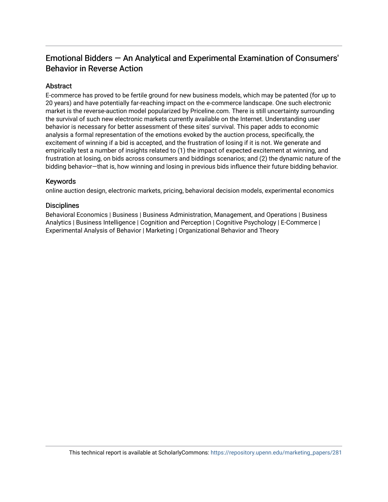# Emotional Bidders — An Analytical and Experimental Examination of Consumers' Behavior in Reverse Action

# **Abstract**

E-commerce has proved to be fertile ground for new business models, which may be patented (for up to 20 years) and have potentially far-reaching impact on the e-commerce landscape. One such electronic market is the reverse-auction model popularized by Priceline.com. There is still uncertainty surrounding the survival of such new electronic markets currently available on the Internet. Understanding user behavior is necessary for better assessment of these sites' survival. This paper adds to economic analysis a formal representation of the emotions evoked by the auction process, specifically, the excitement of winning if a bid is accepted, and the frustration of losing if it is not. We generate and empirically test a number of insights related to (1) the impact of expected excitement at winning, and frustration at losing, on bids across consumers and biddings scenarios; and (2) the dynamic nature of the bidding behavior—that is, how winning and losing in previous bids influence their future bidding behavior.

# Keywords

online auction design, electronic markets, pricing, behavioral decision models, experimental economics

#### **Disciplines**

Behavioral Economics | Business | Business Administration, Management, and Operations | Business Analytics | Business Intelligence | Cognition and Perception | Cognitive Psychology | E-Commerce | Experimental Analysis of Behavior | Marketing | Organizational Behavior and Theory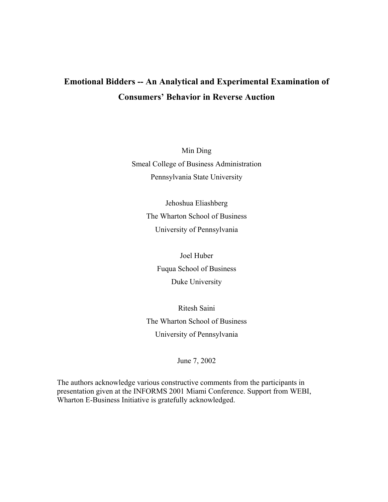# **Emotional Bidders -- An Analytical and Experimental Examination of Consumers' Behavior in Reverse Auction**

Min Ding Smeal College of Business Administration Pennsylvania State University

> Jehoshua Eliashberg The Wharton School of Business University of Pennsylvania

> > Joel Huber Fuqua School of Business Duke University

Ritesh Saini The Wharton School of Business University of Pennsylvania

June 7, 2002

The authors acknowledge various constructive comments from the participants in presentation given at the INFORMS 2001 Miami Conference. Support from WEBI, Wharton E-Business Initiative is gratefully acknowledged.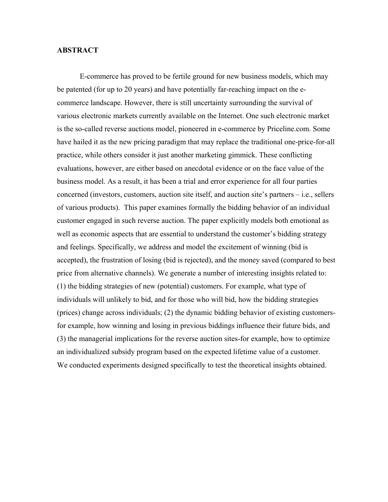#### **ABSTRACT**

E-commerce has proved to be fertile ground for new business models, which may be patented (for up to 20 years) and have potentially far-reaching impact on the ecommerce landscape. However, there is still uncertainty surrounding the survival of various electronic markets currently available on the Internet. One such electronic market is the so-called reverse auctions model, pioneered in e-commerce by Priceline.com. Some have hailed it as the new pricing paradigm that may replace the traditional one-price-for-all practice, while others consider it just another marketing gimmick. These conflicting evaluations, however, are either based on anecdotal evidence or on the face value of the business model. As a result, it has been a trial and error experience for all four parties concerned (investors, customers, auction site itself, and auction site's partners – i.e., sellers of various products). This paper examines formally the bidding behavior of an individual customer engaged in such reverse auction. The paper explicitly models both emotional as well as economic aspects that are essential to understand the customer's bidding strategy and feelings. Specifically, we address and model the excitement of winning (bid is accepted), the frustration of losing (bid is rejected), and the money saved (compared to best price from alternative channels). We generate a number of interesting insights related to: (1) the bidding strategies of new (potential) customers. For example, what type of individuals will unlikely to bid, and for those who will bid, how the bidding strategies (prices) change across individuals; (2) the dynamic bidding behavior of existing customersfor example, how winning and losing in previous biddings influence their future bids, and (3) the managerial implications for the reverse auction sites-for example, how to optimize an individualized subsidy program based on the expected lifetime value of a customer. We conducted experiments designed specifically to test the theoretical insights obtained.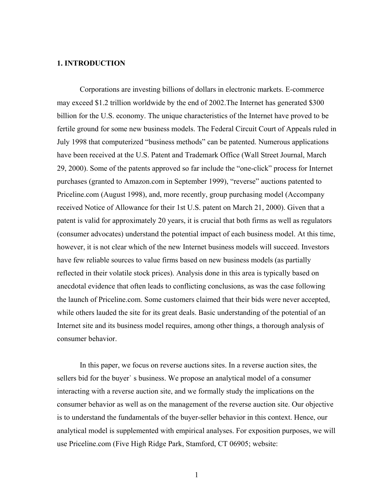# **1. INTRODUCTION**

Corporations are investing billions of dollars in electronic markets. E-commerce may exceed \$1.2 trillion worldwide by the end of 2002.The Internet has generated \$300 billion for the U.S. economy. The unique characteristics of the Internet have proved to be fertile ground for some new business models. The Federal Circuit Court of Appeals ruled in July 1998 that computerized "business methods" can be patented. Numerous applications have been received at the U.S. Patent and Trademark Office (Wall Street Journal, March 29, 2000). Some of the patents approved so far include the "one-click" process for Internet purchases (granted to Amazon.com in September 1999), "reverse" auctions patented to Priceline.com (August 1998), and, more recently, group purchasing model (Accompany received Notice of Allowance for their 1st U.S. patent on March 21, 2000). Given that a patent is valid for approximately 20 years, it is crucial that both firms as well as regulators (consumer advocates) understand the potential impact of each business model. At this time, however, it is not clear which of the new Internet business models will succeed. Investors have few reliable sources to value firms based on new business models (as partially reflected in their volatile stock prices). Analysis done in this area is typically based on anecdotal evidence that often leads to conflicting conclusions, as was the case following the launch of Priceline.com. Some customers claimed that their bids were never accepted, while others lauded the site for its great deals. Basic understanding of the potential of an Internet site and its business model requires, among other things, a thorough analysis of consumer behavior.

In this paper, we focus on reverse auctions sites. In a reverse auction sites, the sellers bid for the buyer` s business. We propose an analytical model of a consumer interacting with a reverse auction site, and we formally study the implications on the consumer behavior as well as on the management of the reverse auction site. Our objective is to understand the fundamentals of the buyer-seller behavior in this context. Hence, our analytical model is supplemented with empirical analyses. For exposition purposes, we will use Priceline.com (Five High Ridge Park, Stamford, CT 06905; website: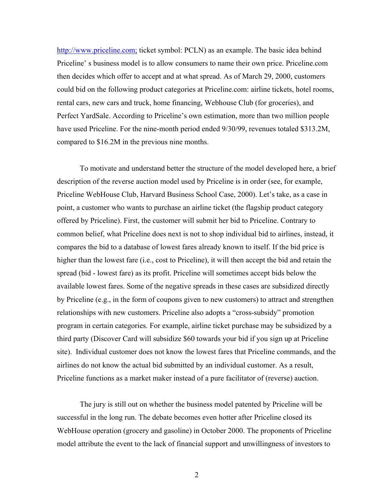http://www.priceline.com; ticket symbol: PCLN) as an example. The basic idea behind Priceline' s business model is to allow consumers to name their own price. Priceline.com then decides which offer to accept and at what spread. As of March 29, 2000, customers could bid on the following product categories at Priceline.com: airline tickets, hotel rooms, rental cars, new cars and truck, home financing, Webhouse Club (for groceries), and Perfect YardSale. According to Priceline's own estimation, more than two million people have used Priceline. For the nine-month period ended 9/30/99, revenues totaled \$313.2M, compared to \$16.2M in the previous nine months.

To motivate and understand better the structure of the model developed here, a brief description of the reverse auction model used by Priceline is in order (see, for example, Priceline WebHouse Club, Harvard Business School Case, 2000). Let's take, as a case in point, a customer who wants to purchase an airline ticket (the flagship product category offered by Priceline). First, the customer will submit her bid to Priceline. Contrary to common belief, what Priceline does next is not to shop individual bid to airlines, instead, it compares the bid to a database of lowest fares already known to itself. If the bid price is higher than the lowest fare (i.e., cost to Priceline), it will then accept the bid and retain the spread (bid - lowest fare) as its profit. Priceline will sometimes accept bids below the available lowest fares. Some of the negative spreads in these cases are subsidized directly by Priceline (e.g., in the form of coupons given to new customers) to attract and strengthen relationships with new customers. Priceline also adopts a "cross-subsidy" promotion program in certain categories. For example, airline ticket purchase may be subsidized by a third party (Discover Card will subsidize \$60 towards your bid if you sign up at Priceline site). Individual customer does not know the lowest fares that Priceline commands, and the airlines do not know the actual bid submitted by an individual customer. As a result, Priceline functions as a market maker instead of a pure facilitator of (reverse) auction.

 The jury is still out on whether the business model patented by Priceline will be successful in the long run. The debate becomes even hotter after Priceline closed its WebHouse operation (grocery and gasoline) in October 2000. The proponents of Priceline model attribute the event to the lack of financial support and unwillingness of investors to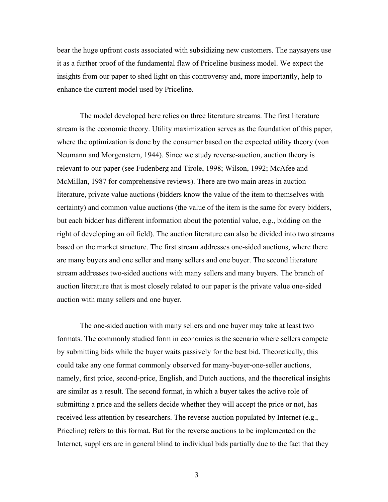bear the huge upfront costs associated with subsidizing new customers. The naysayers use it as a further proof of the fundamental flaw of Priceline business model. We expect the insights from our paper to shed light on this controversy and, more importantly, help to enhance the current model used by Priceline.

The model developed here relies on three literature streams. The first literature stream is the economic theory. Utility maximization serves as the foundation of this paper, where the optimization is done by the consumer based on the expected utility theory (von Neumann and Morgenstern, 1944). Since we study reverse-auction, auction theory is relevant to our paper (see Fudenberg and Tirole, 1998; Wilson, 1992; McAfee and McMillan, 1987 for comprehensive reviews). There are two main areas in auction literature, private value auctions (bidders know the value of the item to themselves with certainty) and common value auctions (the value of the item is the same for every bidders, but each bidder has different information about the potential value, e.g., bidding on the right of developing an oil field). The auction literature can also be divided into two streams based on the market structure. The first stream addresses one-sided auctions, where there are many buyers and one seller and many sellers and one buyer. The second literature stream addresses two-sided auctions with many sellers and many buyers. The branch of auction literature that is most closely related to our paper is the private value one-sided auction with many sellers and one buyer.

The one-sided auction with many sellers and one buyer may take at least two formats. The commonly studied form in economics is the scenario where sellers compete by submitting bids while the buyer waits passively for the best bid. Theoretically, this could take any one format commonly observed for many-buyer-one-seller auctions, namely, first price, second-price, English, and Dutch auctions, and the theoretical insights are similar as a result. The second format, in which a buyer takes the active role of submitting a price and the sellers decide whether they will accept the price or not, has received less attention by researchers. The reverse auction populated by Internet (e.g., Priceline) refers to this format. But for the reverse auctions to be implemented on the Internet, suppliers are in general blind to individual bids partially due to the fact that they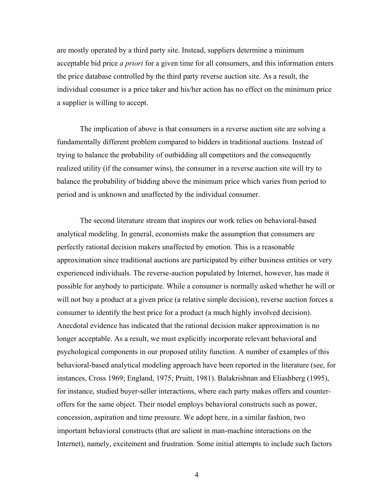are mostly operated by a third party site. Instead, suppliers determine a minimum acceptable bid price *a priori* for a given time for all consumers, and this information enters the price database controlled by the third party reverse auction site. As a result, the individual consumer is a price taker and his/her action has no effect on the minimum price a supplier is willing to accept.

The implication of above is that consumers in a reverse auction site are solving a fundamentally different problem compared to bidders in traditional auctions. Instead of trying to balance the probability of outbidding all competitors and the consequently realized utility (if the consumer wins), the consumer in a reverse auction site will try to balance the probability of bidding above the minimum price which varies from period to period and is unknown and unaffected by the individual consumer.

The second literature stream that inspires our work relies on behavioral-based analytical modeling. In general, economists make the assumption that consumers are perfectly rational decision makers unaffected by emotion. This is a reasonable approximation since traditional auctions are participated by either business entities or very experienced individuals. The reverse-auction populated by Internet, however, has made it possible for anybody to participate. While a consumer is normally asked whether he will or will not buy a product at a given price (a relative simple decision), reverse auction forces a consumer to identify the best price for a product (a much highly involved decision). Anecdotal evidence has indicated that the rational decision maker approximation is no longer acceptable. As a result, we must explicitly incorporate relevant behavioral and psychological components in our proposed utility function. A number of examples of this behavioral-based analytical modeling approach have been reported in the literature (see, for instances, Cross 1969; England, 1975; Pruitt, 1981). Balakrishnan and Eliashberg (1995), for instance, studied buyer-seller interactions, where each party makes offers and counteroffers for the same object. Their model employs behavioral constructs such as power, concession, aspiration and time pressure. We adopt here, in a similar fashion, two important behavioral constructs (that are salient in man-machine interactions on the Internet), namely, excitement and frustration. Some initial attempts to include such factors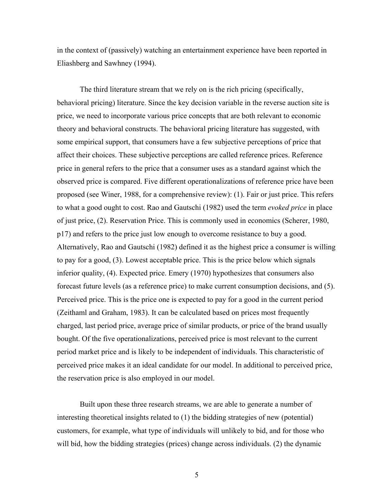in the context of (passively) watching an entertainment experience have been reported in Eliashberg and Sawhney (1994).

The third literature stream that we rely on is the rich pricing (specifically, behavioral pricing) literature. Since the key decision variable in the reverse auction site is price, we need to incorporate various price concepts that are both relevant to economic theory and behavioral constructs. The behavioral pricing literature has suggested, with some empirical support, that consumers have a few subjective perceptions of price that affect their choices. These subjective perceptions are called reference prices. Reference price in general refers to the price that a consumer uses as a standard against which the observed price is compared. Five different operationalizations of reference price have been proposed (see Winer, 1988, for a comprehensive review): (1). Fair or just price. This refers to what a good ought to cost. Rao and Gautschi (1982) used the term *evoked price* in place of just price, (2). Reservation Price. This is commonly used in economics (Scherer, 1980, p17) and refers to the price just low enough to overcome resistance to buy a good. Alternatively, Rao and Gautschi (1982) defined it as the highest price a consumer is willing to pay for a good, (3). Lowest acceptable price. This is the price below which signals inferior quality, (4). Expected price. Emery (1970) hypothesizes that consumers also forecast future levels (as a reference price) to make current consumption decisions, and (5). Perceived price. This is the price one is expected to pay for a good in the current period (Zeithaml and Graham, 1983). It can be calculated based on prices most frequently charged, last period price, average price of similar products, or price of the brand usually bought. Of the five operationalizations, perceived price is most relevant to the current period market price and is likely to be independent of individuals. This characteristic of perceived price makes it an ideal candidate for our model. In additional to perceived price, the reservation price is also employed in our model.

Built upon these three research streams, we are able to generate a number of interesting theoretical insights related to (1) the bidding strategies of new (potential) customers, for example, what type of individuals will unlikely to bid, and for those who will bid, how the bidding strategies (prices) change across individuals. (2) the dynamic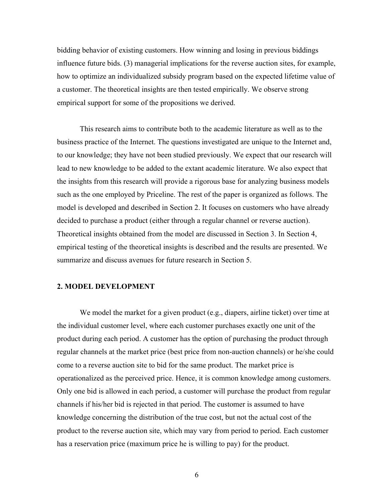bidding behavior of existing customers. How winning and losing in previous biddings influence future bids. (3) managerial implications for the reverse auction sites, for example, how to optimize an individualized subsidy program based on the expected lifetime value of a customer. The theoretical insights are then tested empirically. We observe strong empirical support for some of the propositions we derived.

This research aims to contribute both to the academic literature as well as to the business practice of the Internet. The questions investigated are unique to the Internet and, to our knowledge; they have not been studied previously. We expect that our research will lead to new knowledge to be added to the extant academic literature. We also expect that the insights from this research will provide a rigorous base for analyzing business models such as the one employed by Priceline. The rest of the paper is organized as follows. The model is developed and described in Section 2. It focuses on customers who have already decided to purchase a product (either through a regular channel or reverse auction). Theoretical insights obtained from the model are discussed in Section 3. In Section 4, empirical testing of the theoretical insights is described and the results are presented. We summarize and discuss avenues for future research in Section 5.

#### **2. MODEL DEVELOPMENT**

We model the market for a given product (e.g., diapers, airline ticket) over time at the individual customer level, where each customer purchases exactly one unit of the product during each period. A customer has the option of purchasing the product through regular channels at the market price (best price from non-auction channels) or he/she could come to a reverse auction site to bid for the same product. The market price is operationalized as the perceived price. Hence, it is common knowledge among customers. Only one bid is allowed in each period, a customer will purchase the product from regular channels if his/her bid is rejected in that period. The customer is assumed to have knowledge concerning the distribution of the true cost, but not the actual cost of the product to the reverse auction site, which may vary from period to period. Each customer has a reservation price (maximum price he is willing to pay) for the product.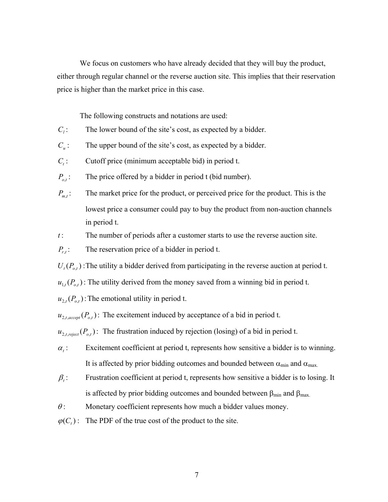We focus on customers who have already decided that they will buy the product, either through regular channel or the reverse auction site. This implies that their reservation price is higher than the market price in this case.

The following constructs and notations are used:

- $C_i$ : The lower bound of the site's cost, as expected by a bidder.
- *C<sub>u</sub>*: The upper bound of the site's cost, as expected by a bidder.
- $C_t$ : Cutoff price (minimum acceptable bid) in period t.
- $P_{\alpha}$ ; The price offered by a bidder in period t (bid number).
- *P<sub>m,t</sub>*: The market price for the product, or perceived price for the product. This is the lowest price a consumer could pay to buy the product from non-auction channels in period t.
- *t* : The number of periods after a customer starts to use the reverse auction site.
- *P<sub>rt</sub>*: The reservation price of a bidder in period t.

 $U_t(P_{o,t})$ : The utility a bidder derived from participating in the reverse auction at period t.

 $u_{1,t}(P_{0,t})$ : The utility derived from the money saved from a winning bid in period t.

 $u_{2,t}(P_{0,t})$ : The emotional utility in period t.

 $u_{2,t,accept}(P_{o,t})$ : The excitement induced by acceptance of a bid in period t.

 $u_{2,t,reject}(P_{o,t})$ : The frustration induced by rejection (losing) of a bid in period t.

- $\alpha_t$ : Excitement coefficient at period t, represents how sensitive a bidder is to winning. It is affected by prior bidding outcomes and bounded between  $\alpha_{min}$  and  $\alpha_{max}$ .
- $\beta$  : Frustration coefficient at period t, represents how sensitive a bidder is to losing. It is affected by prior bidding outcomes and bounded between  $\beta_{min}$  and  $\beta_{max}$ .
- $\theta$ : Monetary coefficient represents how much a bidder values money.
- $\varphi(C_t)$ : The PDF of the true cost of the product to the site.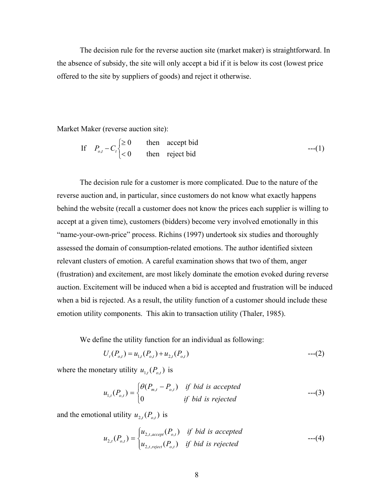The decision rule for the reverse auction site (market maker) is straightforward. In the absence of subsidy, the site will only accept a bid if it is below its cost (lowest price offered to the site by suppliers of goods) and reject it otherwise.

Market Maker (reverse auction site):

If 
$$
P_{o,t} - C_t \begin{cases} \ge 0 & \text{then } \text{ accept bid} \\ < 0 & \text{then } \text{ reject bid} \end{cases}
$$
 ---(1)

 The decision rule for a customer is more complicated. Due to the nature of the reverse auction and, in particular, since customers do not know what exactly happens behind the website (recall a customer does not know the prices each supplier is willing to accept at a given time), customers (bidders) become very involved emotionally in this "name-your-own-price" process. Richins (1997) undertook six studies and thoroughly assessed the domain of consumption-related emotions. The author identified sixteen relevant clusters of emotion. A careful examination shows that two of them, anger (frustration) and excitement, are most likely dominate the emotion evoked during reverse auction. Excitement will be induced when a bid is accepted and frustration will be induced when a bid is rejected. As a result, the utility function of a customer should include these emotion utility components. This akin to transaction utility (Thaler, 1985).

We define the utility function for an individual as following:

$$
U_t(P_{o,t}) = u_{1,t}(P_{o,t}) + u_{2,t}(P_{o,t})
$$
 --- (2)

where the monetary utility  $u_{1,t}$   $(P_{o,t})$  is

$$
u_{1,t}(P_{o,t}) = \begin{cases} \theta(P_{m,t} - P_{o,t}) & \text{if bid is accepted} \\ 0 & \text{if bid is rejected} \end{cases} \tag{3}
$$

and the emotional utility  $u_{2,t}(P_{o,t})$  is

$$
u_{2,t}(P_{o,t}) = \begin{cases} u_{2,t,accept}(P_{o,t}) & \text{if bid is accepted} \\ u_{2,t,reject}(P_{o,t}) & \text{if bid is rejected} \end{cases} \tag{4}
$$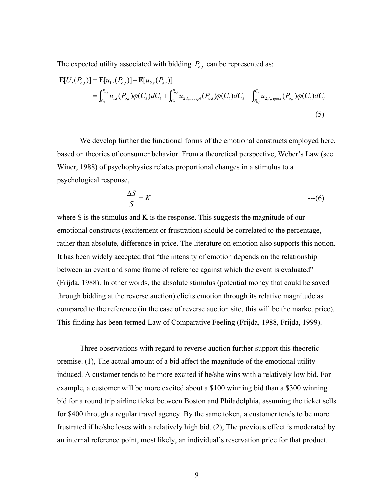The expected utility associated with bidding  $P_{o,t}$  can be represented as:

$$
\mathbf{E}[U_{t}(P_{o,t})] = \mathbf{E}[u_{1,t}(P_{o,t})] + \mathbf{E}[u_{2,t}(P_{o,t})]
$$
\n
$$
= \int_{C_{t}}^{P_{o,t}} u_{1,t}(P_{o,t}) \varphi(C_{t}) dC_{t} + \int_{C_{t}}^{P_{o,t}} u_{2,t,accept}(P_{o,t}) \varphi(C_{t}) dC_{t} - \int_{P_{o,t}}^{C_{u}} u_{2,t,reject}(P_{o,t}) \varphi(C_{t}) dC_{t}
$$
\n---(5)

We develop further the functional forms of the emotional constructs employed here, based on theories of consumer behavior. From a theoretical perspective, Weber's Law (see Winer, 1988) of psychophysics relates proportional changes in a stimulus to a psychological response,

$$
\frac{\Delta S}{S} = K \tag{6}
$$

where S is the stimulus and K is the response. This suggests the magnitude of our emotional constructs (excitement or frustration) should be correlated to the percentage, rather than absolute, difference in price. The literature on emotion also supports this notion. It has been widely accepted that "the intensity of emotion depends on the relationship between an event and some frame of reference against which the event is evaluated" (Frijda, 1988). In other words, the absolute stimulus (potential money that could be saved through bidding at the reverse auction) elicits emotion through its relative magnitude as compared to the reference (in the case of reverse auction site, this will be the market price). This finding has been termed Law of Comparative Feeling (Frijda, 1988, Frijda, 1999).

Three observations with regard to reverse auction further support this theoretic premise. (1), The actual amount of a bid affect the magnitude of the emotional utility induced. A customer tends to be more excited if he/she wins with a relatively low bid. For example, a customer will be more excited about a \$100 winning bid than a \$300 winning bid for a round trip airline ticket between Boston and Philadelphia, assuming the ticket sells for \$400 through a regular travel agency. By the same token, a customer tends to be more frustrated if he/she loses with a relatively high bid. (2), The previous effect is moderated by an internal reference point, most likely, an individual's reservation price for that product.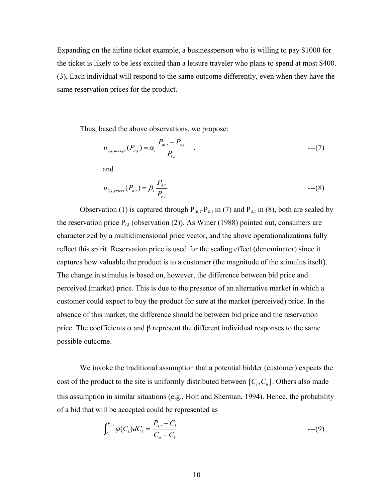Expanding on the airline ticket example, a businessperson who is willing to pay \$1000 for the ticket is likely to be less excited than a leisure traveler who plans to spend at most \$400. (3), Each individual will respond to the same outcome differently, even when they have the same reservation prices for the product.

Thus, based the above observations, we propose:

$$
u_{2,t,accept}(P_{o,t}) = \alpha_t \frac{P_{m,t} - P_{o,t}}{P_{r,t}}, \qquad (7)
$$

and

$$
u_{2,t,reject}(P_{o,t}) = \beta_t \frac{P_{o,t}}{P_{r,t}} \tag{8}
$$

Observation (1) is captured through  $P_{m,t}-P_{o,t}$  in (7) and  $P_{o,t}$  in (8), both are scaled by the reservation price  $P_{r,t}$  (observation (2)). As Winer (1988) pointed out, consumers are characterized by a multidimensional price vector, and the above operationalizations fully reflect this spirit. Reservation price is used for the scaling effect (denominator) since it captures how valuable the product is to a customer (the magnitude of the stimulus itself). The change in stimulus is based on, however, the difference between bid price and perceived (market) price. This is due to the presence of an alternative market in which a customer could expect to buy the product for sure at the market (perceived) price. In the absence of this market, the difference should be between bid price and the reservation price. The coefficients  $\alpha$  and  $\beta$  represent the different individual responses to the same possible outcome.

We invoke the traditional assumption that a potential bidder (customer) expects the cost of the product to the site is uniformly distributed between  $[C_i, C_i]$ . Others also made this assumption in similar situations (e.g., Holt and Sherman, 1994). Hence, the probability of a bid that will be accepted could be represented as

$$
\int_{C_l}^{P_{o,t}} \varphi(C_t) dC_t = \frac{P_{o,t} - C_l}{C_u - C_l} \qquad \qquad ---(9)
$$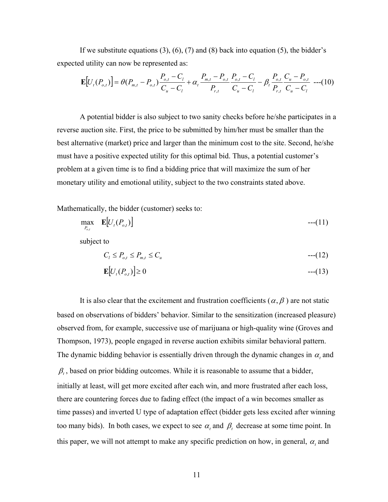If we substitute equations  $(3)$ ,  $(6)$ ,  $(7)$  and  $(8)$  back into equation  $(5)$ , the bidder's expected utility can now be represented as:

$$
\mathbf{E}[U_{t}(P_{o,t})] = \theta(P_{m,t} - P_{o,t}) \frac{P_{o,t} - C_{l}}{C_{u} - C_{l}} + \alpha_{t} \frac{P_{m,t} - P_{o,t}}{P_{r,t}} \frac{P_{o,t} - C_{l}}{C_{u} - C_{l}} - \beta_{t} \frac{P_{o,t}}{P_{r,t}} \frac{C_{u} - P_{o,t}}{C_{u} - C_{l}} \cdots (10)
$$

A potential bidder is also subject to two sanity checks before he/she participates in a reverse auction site. First, the price to be submitted by him/her must be smaller than the best alternative (market) price and larger than the minimum cost to the site. Second, he/she must have a positive expected utility for this optimal bid. Thus, a potential customer's problem at a given time is to find a bidding price that will maximize the sum of her monetary utility and emotional utility, subject to the two constraints stated above.

Mathematically, the bidder (customer) seeks to:

$$
\max_{P_{o,t}} \quad \mathbf{E}[U_t(P_{o,t})] \qquad \qquad \text{---}(11)
$$

subject to

$$
C_l \le P_{o,t} \le P_{m,t} \le C_u \tag{12}
$$

$$
\mathbf{E}[U_t(P_{o,t})] \ge 0 \tag{13}
$$

It is also clear that the excitement and frustration coefficients ( $\alpha$ ,  $\beta$ ) are not static based on observations of bidders' behavior. Similar to the sensitization (increased pleasure) observed from, for example, successive use of marijuana or high-quality wine (Groves and Thompson, 1973), people engaged in reverse auction exhibits similar behavioral pattern. The dynamic bidding behavior is essentially driven through the dynamic changes in  $\alpha$ , and  $\beta_t$ , based on prior bidding outcomes. While it is reasonable to assume that a bidder, initially at least, will get more excited after each win, and more frustrated after each loss, there are countering forces due to fading effect (the impact of a win becomes smaller as time passes) and inverted U type of adaptation effect (bidder gets less excited after winning too many bids). In both cases, we expect to see  $\alpha_t$  and  $\beta_t$  decrease at some time point. In this paper, we will not attempt to make any specific prediction on how, in general,  $\alpha$ , and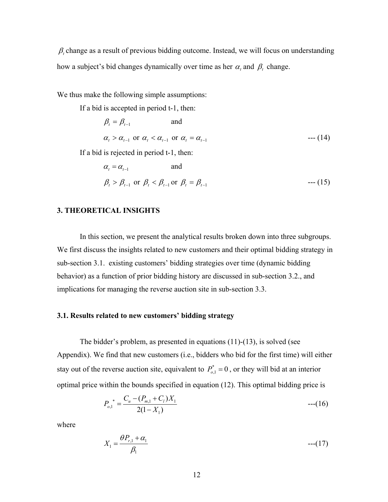$\beta$ , change as a result of previous bidding outcome. Instead, we will focus on understanding how a subject's bid changes dynamically over time as her  $\alpha_t$  and  $\beta_t$  change.

We thus make the following simple assumptions:

If a bid is accepted in period t-1, then:

$$
\beta_{t} = \beta_{t-1} \quad \text{and}
$$
\n
$$
\alpha_{t} > \alpha_{t-1} \text{ or } \alpha_{t} < \alpha_{t-1} \text{ or } \alpha_{t} = \alpha_{t-1} \quad \text{---}(14)
$$

If a bid is rejected in period t-1, then:

$$
\alpha_{t} = \alpha_{t-1} \qquad \text{and}
$$
\n
$$
\beta_{t} > \beta_{t-1} \text{ or } \beta_{t} < \beta_{t-1} \text{ or } \beta_{t} = \beta_{t-1} \qquad \text{---}(15)
$$

# **3. THEORETICAL INSIGHTS**

 In this section, we present the analytical results broken down into three subgroups. We first discuss the insights related to new customers and their optimal bidding strategy in sub-section 3.1. existing customers' bidding strategies over time (dynamic bidding behavior) as a function of prior bidding history are discussed in sub-section 3.2., and implications for managing the reverse auction site in sub-section 3.3.

#### **3.1. Results related to new customers' bidding strategy**

The bidder's problem, as presented in equations (11)-(13), is solved (see Appendix). We find that new customers (i.e., bidders who bid for the first time) will either stay out of the reverse auction site, equivalent to  $P_{o,1}^* = 0$ , or they will bid at an interior optimal price within the bounds specified in equation (12). This optimal bidding price is

$$
P_{o,1}^* = \frac{C_u - (P_{m,1} + C_l)X_1}{2(1 - X_1)} \qquad \qquad ---(16)
$$

where

$$
X_1 = \frac{\theta P_{r,1} + \alpha_1}{\beta_1} \tag{17}
$$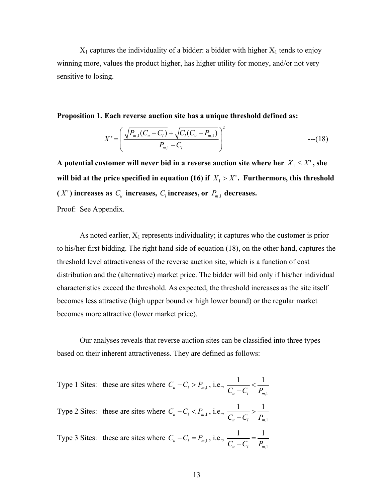$X_1$  captures the individuality of a bidder: a bidder with higher  $X_1$  tends to enjoy winning more, values the product higher, has higher utility for money, and/or not very sensitive to losing.

**Proposition 1. Each reverse auction site has a unique threshold defined as:** 

$$
X' = \left(\frac{\sqrt{P_{m,1}(C_u - C_l)} + \sqrt{C_l(C_u - P_{m,1})}}{P_{m,1} - C_l}\right)^2
$$
---(18)

**A** potential customer will never bid in a reverse auction site where her  $X_1 \leq X'$ , she will bid at the price specified in equation (16) if  $X_1 > X'$ . Furthermore, this threshold  $(X')$  increases as  $C_u$  increases,  $C_l$  increases, or  $P_{m,l}$  decreases.

Proof: See Appendix.

As noted earlier,  $X_1$  represents individuality; it captures who the customer is prior to his/her first bidding. The right hand side of equation (18), on the other hand, captures the threshold level attractiveness of the reverse auction site, which is a function of cost distribution and the (alternative) market price. The bidder will bid only if his/her individual characteristics exceed the threshold. As expected, the threshold increases as the site itself becomes less attractive (high upper bound or high lower bound) or the regular market becomes more attractive (lower market price).

 Our analyses reveals that reverse auction sites can be classified into three types based on their inherent attractiveness. They are defined as follows:

Type 1 Sites: these are sites where  $C_u - C_l > P_{m,1}$ , i.e., ,1 1 1  $\frac{1}{C_u - C_l} < \frac{1}{P_m}$ Type 2 Sites: these are sites where  $C_u - C_l < P_{m,1}$ , i.e., ,1 1 1  $\frac{1}{C_u - C_l} > \frac{1}{P_m}$ Type 3 Sites: these are sites where  $C_u - C_l = P_{m,1}$ , i.e., ,1 1 1  $\frac{1}{C_u - C_l} = \frac{1}{P_m}$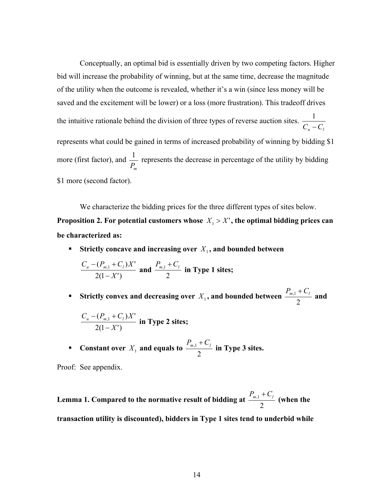Conceptually, an optimal bid is essentially driven by two competing factors. Higher bid will increase the probability of winning, but at the same time, decrease the magnitude of the utility when the outcome is revealed, whether it's a win (since less money will be saved and the excitement will be lower) or a loss (more frustration). This tradeoff drives the intuitive rationale behind the division of three types of reverse auction sites.  $\frac{1}{C_u - C_l}$ represents what could be gained in terms of increased probability of winning by bidding \$1 more (first factor), and  $\frac{1}{P_m}$  represents the decrease in percentage of the utility by bidding \$1 more (second factor).

 We characterize the bidding prices for the three different types of sites below. **Proposition 2. For potential customers whose**  $X_1 > X'$ **, the optimal bidding prices can be characterized as:** 

**Strictly concave and increasing over**  $X_1$ **, and bounded between** 

$$
\frac{C_u - (P_{m,1} + C_l)X'}{2(1 - X')}
$$
 and 
$$
\frac{P_{m,1} + C_l}{2}
$$
 in Type 1 sites;

**Strictly convex and decreasing over**  $X_1$ **, and bounded between**  $\frac{2\pi n!}{2}$  $\frac{P_{m,1}+C_l}{2}$  and

$$
\frac{C_u - (P_{m,1} + C_l)X'}{2(1 - X')}
$$
 in Type 2 sites;

• Constant over  $X_1$  and equals to  $\frac{2^{n}}{2}$  $\frac{P_{m,1} + C_l}{2}$  in Type 3 sites.

Proof: See appendix.

**Lemma 1. Compared to the normative result of bidding at**  $\frac{2\pi m}{2}$  $\frac{P_{m,1}+C_l}{2}$  (when the **transaction utility is discounted), bidders in Type 1 sites tend to underbid while**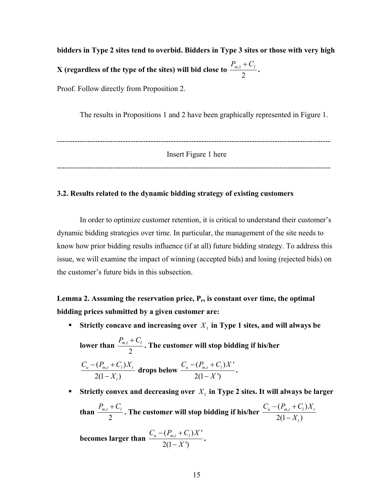**bidders in Type 2 sites tend to overbid. Bidders in Type 3 sites or those with very high X** (regardless of the type of the sites) will bid close to  $\frac{2\pi m_1}{2}$  $\frac{P_{m,1} + C_l}{2}$ .

Proof. Follow directly from Proposition 2.

The results in Propositions 1 and 2 have been graphically represented in Figure 1.

------------------------------------------------------------------------------------------------------------ Insert Figure 1 here ------------------------------------------------------------------------------------------------------------

# **3.2. Results related to the dynamic bidding strategy of existing customers**

 In order to optimize customer retention, it is critical to understand their customer's dynamic bidding strategies over time. In particular, the management of the site needs to know how prior bidding results influence (if at all) future bidding strategy. To address this issue, we will examine the impact of winning (accepted bids) and losing (rejected bids) on the customer's future bids in this subsection.

# Lemma 2. Assuming the reservation price, P<sub>r</sub>, is constant over time, the optimal **bidding prices submitted by a given customer are:**

**Strictly concave and increasing over**  $X_1$  **in Type 1 sites, and will always be** 

lower than  $\frac{1}{m}$ , 2  $\frac{P_{m,t}+C_l}{2}$ . The customer will stop bidding if his/her

$$
\frac{C_u - (P_{m,t} + C_l)X_t}{2(1 - X_t)} \text{ drops below } \frac{C_u - (P_{m,t} + C_l)X'}{2(1 - X')}.
$$

**Strictly convex and decreasing over**  $X_1$  **in Type 2 sites. It will always be larger** 

than  $\frac{1}{m}$ , 2  $\frac{P_{m,t}+C_l}{2}$ . The customer will stop bidding if his/her  $\frac{C_u-(P_{m,t}+C_l)}{2}$  $2(1 - X_t)$  $u \left( \begin{array}{cc} \n\mathbf{u}_{m,t} & \n\end{array} \right)$ *t*  $C_{\nu} - (P_{m} + C_{l})X$ *X*  $-(P_{m,t} +$ −

**becomes larger than**  $\frac{C_u - (P_{m,t} + C_l)X'}{P_{m,t} + C_l}$  $2(1-X')$  $C_u - (P_{m,t} + C_l)X$ *X*  $-(P_{m,t} +$  $\frac{f(x+h)-f(x)}{-X}$ .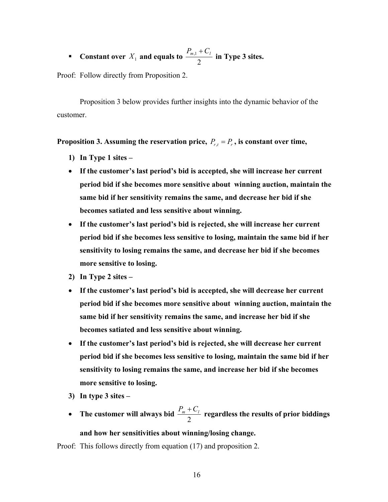**Constant over**  $X_1$  **and equals to**  $\frac{2^{n}m!}{2}$  $\frac{P_{m,1} + C_l}{2}$  in Type 3 sites.

Proof: Follow directly from Proposition 2.

 Proposition 3 below provides further insights into the dynamic behavior of the customer.

**Proposition 3. Assuming the reservation price,**  $P_{rt} = P_r$ **, is constant over time,** 

- **1) In Type 1 sites**
- **If the customer's last period's bid is accepted, she will increase her current period bid if she becomes more sensitive about winning auction, maintain the same bid if her sensitivity remains the same, and decrease her bid if she becomes satiated and less sensitive about winning.**
- **If the customer's last period's bid is rejected, she will increase her current period bid if she becomes less sensitive to losing, maintain the same bid if her sensitivity to losing remains the same, and decrease her bid if she becomes more sensitive to losing.**
- **2) In Type 2 sites**
- **If the customer's last period's bid is accepted, she will decrease her current period bid if she becomes more sensitive about winning auction, maintain the same bid if her sensitivity remains the same, and increase her bid if she becomes satiated and less sensitive about winning.**
- **If the customer's last period's bid is rejected, she will decrease her current period bid if she becomes less sensitive to losing, maintain the same bid if her sensitivity to losing remains the same, and increase her bid if she becomes more sensitive to losing.**
- **3) In type 3 sites**
- The customer will always bid  $\frac{P_m + C_l}{2}$  regardless the results of prior biddings

#### **and how her sensitivities about winning/losing change.**

Proof: This follows directly from equation (17) and proposition 2.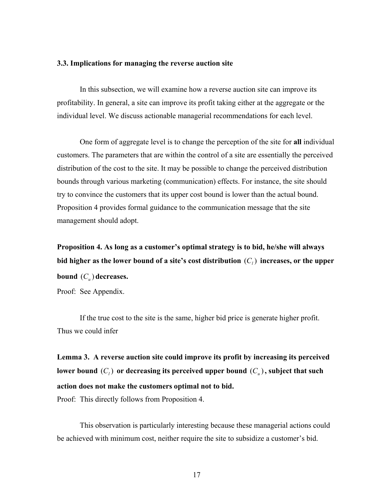#### **3.3. Implications for managing the reverse auction site**

 In this subsection, we will examine how a reverse auction site can improve its profitability. In general, a site can improve its profit taking either at the aggregate or the individual level. We discuss actionable managerial recommendations for each level.

One form of aggregate level is to change the perception of the site for **all** individual customers. The parameters that are within the control of a site are essentially the perceived distribution of the cost to the site. It may be possible to change the perceived distribution bounds through various marketing (communication) effects. For instance, the site should try to convince the customers that its upper cost bound is lower than the actual bound. Proposition 4 provides formal guidance to the communication message that the site management should adopt.

**Proposition 4. As long as a customer's optimal strategy is to bid, he/she will always**  bid higher as the lower bound of a site's cost distribution  $(C_i)$  increases, or the upper **bound**  $(C_u)$  **decreases.** 

Proof: See Appendix.

 If the true cost to the site is the same, higher bid price is generate higher profit. Thus we could infer

**Lemma 3. A reverse auction site could improve its profit by increasing its perceived**  lower bound  $(C_i)$  or decreasing its perceived upper bound  $(C_u)$ , subject that such **action does not make the customers optimal not to bid.**  Proof: This directly follows from Proposition 4.

 This observation is particularly interesting because these managerial actions could be achieved with minimum cost, neither require the site to subsidize a customer's bid.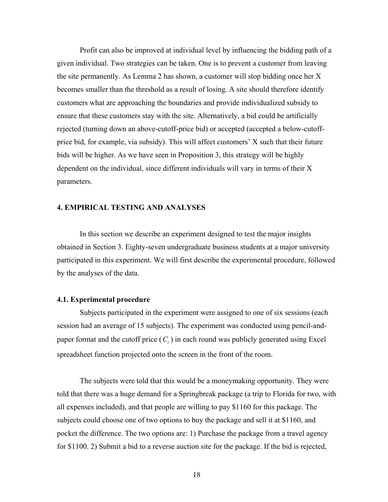Profit can also be improved at individual level by influencing the bidding path of a given individual. Two strategies can be taken. One is to prevent a customer from leaving the site permanently. As Lemma 2 has shown, a customer will stop bidding once her X becomes smaller than the threshold as a result of losing. A site should therefore identify customers what are approaching the boundaries and provide individualized subsidy to ensure that these customers stay with the site. Alternatively, a bid could be artificially rejected (turning down an above-cutoff-price bid) or accepted (accepted a below-cutoffprice bid, for example, via subsidy). This will affect customers' X such that their future bids will be higher. As we have seen in Proposition 3, this strategy will be highly dependent on the individual, since different individuals will vary in terms of their X parameters.

#### **4. EMPIRICAL TESTING AND ANALYSES**

In this section we describe an experiment designed to test the major insights obtained in Section 3. Eighty-seven undergraduate business students at a major university participated in this experiment. We will first describe the experimental procedure, followed by the analyses of the data.

#### **4.1. Experimental procedure**

 Subjects participated in the experiment were assigned to one of six sessions (each session had an average of 15 subjects). The experiment was conducted using pencil-andpaper format and the cutoff price  $(C_t)$  in each round was publicly generated using Excel spreadsheet function projected onto the screen in the front of the room.

The subjects were told that this would be a moneymaking opportunity. They were told that there was a huge demand for a Springbreak package (a trip to Florida for two, with all expenses included), and that people are willing to pay \$1160 for this package. The subjects could choose one of two options to buy the package and sell it at \$1160, and pocket the difference. The two options are: 1) Purchase the package from a travel agency for \$1100. 2) Submit a bid to a reverse auction site for the package. If the bid is rejected,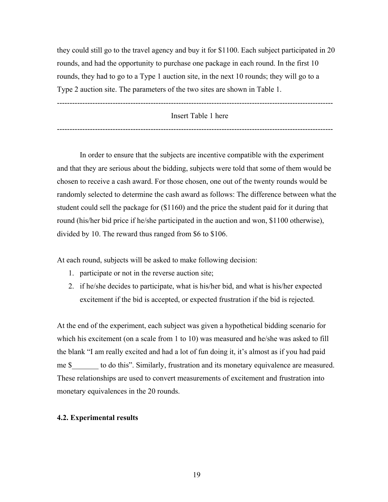they could still go to the travel agency and buy it for \$1100. Each subject participated in 20 rounds, and had the opportunity to purchase one package in each round. In the first 10 rounds, they had to go to a Type 1 auction site, in the next 10 rounds; they will go to a Type 2 auction site. The parameters of the two sites are shown in Table 1.

-------------------------------------------------------------------------------------------------------------

Insert Table 1 here

 $-$ 

 In order to ensure that the subjects are incentive compatible with the experiment and that they are serious about the bidding, subjects were told that some of them would be chosen to receive a cash award. For those chosen, one out of the twenty rounds would be randomly selected to determine the cash award as follows: The difference between what the student could sell the package for (\$1160) and the price the student paid for it during that round (his/her bid price if he/she participated in the auction and won, \$1100 otherwise), divided by 10. The reward thus ranged from \$6 to \$106.

At each round, subjects will be asked to make following decision:

- 1. participate or not in the reverse auction site;
- 2. if he/she decides to participate, what is his/her bid, and what is his/her expected excitement if the bid is accepted, or expected frustration if the bid is rejected.

At the end of the experiment, each subject was given a hypothetical bidding scenario for which his excitement (on a scale from 1 to 10) was measured and he/she was asked to fill the blank "I am really excited and had a lot of fun doing it, it's almost as if you had paid me \$ to do this". Similarly, frustration and its monetary equivalence are measured. These relationships are used to convert measurements of excitement and frustration into monetary equivalences in the 20 rounds.

# **4.2. Experimental results**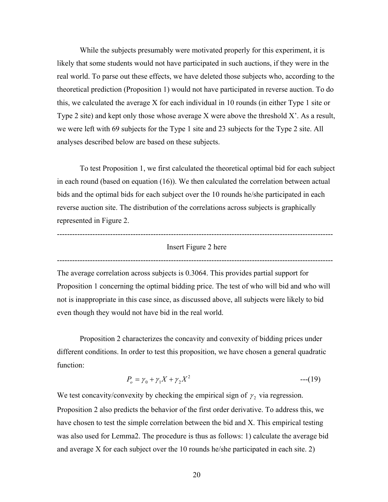While the subjects presumably were motivated properly for this experiment, it is likely that some students would not have participated in such auctions, if they were in the real world. To parse out these effects, we have deleted those subjects who, according to the theoretical prediction (Proposition 1) would not have participated in reverse auction. To do this, we calculated the average X for each individual in 10 rounds (in either Type 1 site or Type 2 site) and kept only those whose average X were above the threshold X'. As a result, we were left with 69 subjects for the Type 1 site and 23 subjects for the Type 2 site. All analyses described below are based on these subjects.

 To test Proposition 1, we first calculated the theoretical optimal bid for each subject in each round (based on equation (16)). We then calculated the correlation between actual bids and the optimal bids for each subject over the 10 rounds he/she participated in each reverse auction site. The distribution of the correlations across subjects is graphically represented in Figure 2.

# Insert Figure 2 here

-------------------------------------------------------------------------------------------------------------

The average correlation across subjects is 0.3064. This provides partial support for Proposition 1 concerning the optimal bidding price. The test of who will bid and who will not is inappropriate in this case since, as discussed above, all subjects were likely to bid even though they would not have bid in the real world.

 Proposition 2 characterizes the concavity and convexity of bidding prices under different conditions. In order to test this proposition, we have chosen a general quadratic function:

$$
P_o = \gamma_0 + \gamma_1 X + \gamma_2 X^2 \tag{19}
$$

-------------------------------------------------------------------------------------------------------------

We test concavity/convexity by checking the empirical sign of  $\gamma_2$  via regression. Proposition 2 also predicts the behavior of the first order derivative. To address this, we have chosen to test the simple correlation between the bid and X. This empirical testing was also used for Lemma2. The procedure is thus as follows: 1) calculate the average bid and average X for each subject over the 10 rounds he/she participated in each site. 2)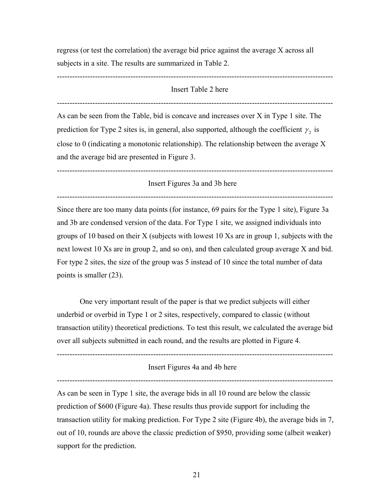regress (or test the correlation) the average bid price against the average X across all subjects in a site. The results are summarized in Table 2.

#### Insert Table 2 here

-------------------------------------------------------------------------------------------------------------

-------------------------------------------------------------------------------------------------------------

-------------------------------------------------------------------------------------------------------------

As can be seen from the Table, bid is concave and increases over X in Type 1 site. The prediction for Type 2 sites is, in general, also supported, although the coefficient  $\gamma$ , is close to 0 (indicating a monotonic relationship). The relationship between the average X and the average bid are presented in Figure 3.

# Insert Figures 3a and 3b here

-------------------------------------------------------------------------------------------------------------

Since there are too many data points (for instance, 69 pairs for the Type 1 site), Figure 3a and 3b are condensed version of the data. For Type 1 site, we assigned individuals into groups of 10 based on their X (subjects with lowest 10 Xs are in group 1, subjects with the next lowest 10 Xs are in group 2, and so on), and then calculated group average X and bid. For type 2 sites, the size of the group was 5 instead of 10 since the total number of data points is smaller (23).

 One very important result of the paper is that we predict subjects will either underbid or overbid in Type 1 or 2 sites, respectively, compared to classic (without transaction utility) theoretical predictions. To test this result, we calculated the average bid over all subjects submitted in each round, and the results are plotted in Figure 4.

Insert Figures 4a and 4b here

-------------------------------------------------------------------------------------------------------------

-------------------------------------------------------------------------------------------------------------

As can be seen in Type 1 site, the average bids in all 10 round are below the classic prediction of \$600 (Figure 4a). These results thus provide support for including the transaction utility for making prediction. For Type 2 site (Figure 4b), the average bids in 7, out of 10, rounds are above the classic prediction of \$950, providing some (albeit weaker) support for the prediction.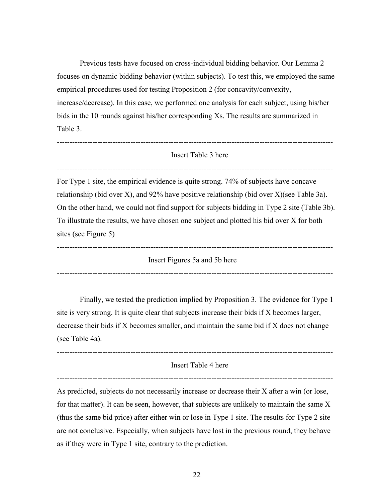Previous tests have focused on cross-individual bidding behavior. Our Lemma 2 focuses on dynamic bidding behavior (within subjects). To test this, we employed the same empirical procedures used for testing Proposition 2 (for concavity/convexity, increase/decrease). In this case, we performed one analysis for each subject, using his/her bids in the 10 rounds against his/her corresponding Xs. The results are summarized in Table 3.

# Insert Table 3 here

-------------------------------------------------------------------------------------------------------------

-------------------------------------------------------------------------------------------------------------

For Type 1 site, the empirical evidence is quite strong. 74% of subjects have concave relationship (bid over X), and  $92\%$  have positive relationship (bid over X)(see Table 3a). On the other hand, we could not find support for subjects bidding in Type 2 site (Table 3b). To illustrate the results, we have chosen one subject and plotted his bid over X for both sites (see Figure 5)

Insert Figures 5a and 5b here

-------------------------------------------------------------------------------------------------------------

-------------------------------------------------------------------------------------------------------------

 Finally, we tested the prediction implied by Proposition 3. The evidence for Type 1 site is very strong. It is quite clear that subjects increase their bids if X becomes larger, decrease their bids if X becomes smaller, and maintain the same bid if X does not change (see Table 4a).

Insert Table 4 here

-------------------------------------------------------------------------------------------------------------

-------------------------------------------------------------------------------------------------------------

As predicted, subjects do not necessarily increase or decrease their X after a win (or lose, for that matter). It can be seen, however, that subjects are unlikely to maintain the same X (thus the same bid price) after either win or lose in Type 1 site. The results for Type 2 site are not conclusive. Especially, when subjects have lost in the previous round, they behave as if they were in Type 1 site, contrary to the prediction.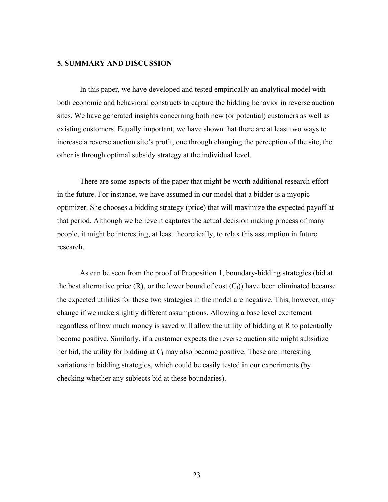# **5. SUMMARY AND DISCUSSION**

 In this paper, we have developed and tested empirically an analytical model with both economic and behavioral constructs to capture the bidding behavior in reverse auction sites. We have generated insights concerning both new (or potential) customers as well as existing customers. Equally important, we have shown that there are at least two ways to increase a reverse auction site's profit, one through changing the perception of the site, the other is through optimal subsidy strategy at the individual level.

There are some aspects of the paper that might be worth additional research effort in the future. For instance, we have assumed in our model that a bidder is a myopic optimizer. She chooses a bidding strategy (price) that will maximize the expected payoff at that period. Although we believe it captures the actual decision making process of many people, it might be interesting, at least theoretically, to relax this assumption in future research.

 As can be seen from the proof of Proposition 1, boundary-bidding strategies (bid at the best alternative price  $(R)$ , or the lower bound of cost  $(C<sub>1</sub>)$ ) have been eliminated because the expected utilities for these two strategies in the model are negative. This, however, may change if we make slightly different assumptions. Allowing a base level excitement regardless of how much money is saved will allow the utility of bidding at R to potentially become positive. Similarly, if a customer expects the reverse auction site might subsidize her bid, the utility for bidding at  $C_1$  may also become positive. These are interesting variations in bidding strategies, which could be easily tested in our experiments (by checking whether any subjects bid at these boundaries).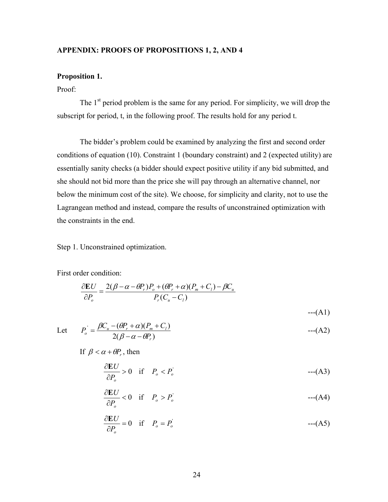#### **APPENDIX: PROOFS OF PROPOSITIONS 1, 2, AND 4**

#### **Proposition 1.**

Proof:

The  $1<sup>st</sup>$  period problem is the same for any period. For simplicity, we will drop the subscript for period, t, in the following proof. The results hold for any period t.

 The bidder's problem could be examined by analyzing the first and second order conditions of equation (10). Constraint 1 (boundary constraint) and 2 (expected utility) are essentially sanity checks (a bidder should expect positive utility if any bid submitted, and she should not bid more than the price she will pay through an alternative channel, nor below the minimum cost of the site). We choose, for simplicity and clarity, not to use the Lagrangean method and instead, compare the results of unconstrained optimization with the constraints in the end.

Step 1. Unconstrained optimization.

First order condition:

$$
\frac{\partial EU}{\partial P_o} = \frac{2(\beta - \alpha - \theta P_r)P_o + (\theta P_r + \alpha)(P_m + C_l) - \beta C_u}{P_r(C_u - C_l)}
$$

Let  $2(\beta - \alpha - \theta P_r)$  $\beta C_u - (\theta P_r + \alpha)(P_m + C_l)$ *r*  $\phi' = \frac{\rho c_u (a_r + a)(a_m + c_l)}{2(\beta - \alpha - \theta_r)}$  $P_{o}^{'} = \frac{\beta C_{u} - (\theta P_{r} + \alpha)(P_{m} + C)}{2(\theta P_{m} + \alpha)^{2}}$  $\beta- \alpha - \theta$ l  $\beta C_u - (\theta P_r + \alpha)$  $-\alpha$  $=\frac{\beta C_u - (\theta P_r + \alpha)(P_m + C_l)}{P_m}$  --- (A2)

If  $\beta < \alpha + \theta P_r$ , then

$$
\frac{\partial EU}{\partial P_o} > 0 \quad \text{if} \quad P_o < P_o' \tag{A3}
$$

 $--(A1)$ 

$$
\frac{\partial \mathbf{E} U}{\partial P_o} < 0 \quad \text{if} \quad P_o > P_o' \tag{A4}
$$

$$
\frac{\partial \mathbf{E} U}{\partial P_o} = 0 \quad \text{if} \quad P_o = P_o' \tag{A5}
$$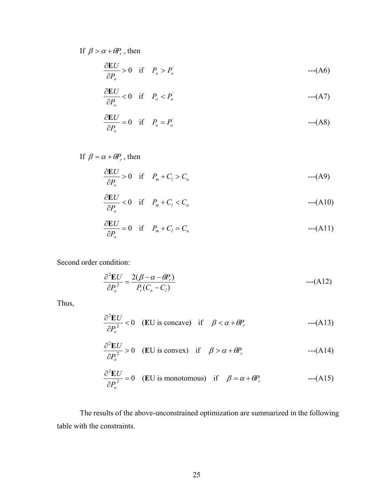If  $\beta > \alpha + \theta P_r$ , then

$$
\frac{\partial \mathbf{E} U}{\partial P_o} > 0 \quad \text{if} \quad P_o > P_o' \tag{A6}
$$

$$
\frac{\partial \mathbf{E} U}{\partial P_o} < 0 \quad \text{if} \quad P_o < P_o' \tag{A7}
$$

$$
\frac{\partial \mathbf{E} U}{\partial P_o} = 0 \quad \text{if} \quad P_o = P_o' \tag{A8}
$$

If 
$$
\beta = \alpha + \theta P_r
$$
, then

$$
\frac{\partial EU}{\partial P_o} > 0 \quad \text{if} \quad P_m + C_l > C_u \tag{A9}
$$

$$
\frac{\partial EU}{\partial P_o} < 0 \quad \text{if} \quad P_m + C_l < C_u \tag{A10}
$$

$$
\frac{\partial \mathbf{E} U}{\partial P_o} = 0 \quad \text{if} \quad P_m + C_l = C_u \tag{A11}
$$

Second order condition:

$$
\frac{\partial^2 \mathbf{E} U}{\partial P_o^2} = \frac{2(\beta - \alpha - \theta P_r)}{P_r (C_u - C_l)} \qquad \qquad \text{---}(A12)
$$

Thus,

$$
\frac{\partial^2 \mathbf{E} U}{\partial P_o^2} < 0 \quad \text{(EU is concave)} \quad \text{if} \quad \beta < \alpha + \theta P_r \qquad \text{---}(A13)
$$

$$
\frac{\partial^2 \mathbf{E} U}{\partial P_o^2} > 0 \quad \text{(EU is convex)} \quad \text{if} \quad \beta > \alpha + \theta P_r \quad \text{---(A14)}
$$

$$
\frac{\partial^2 \mathbf{E} U}{\partial P_o^2} = 0 \quad \text{(EU is monotonous)} \quad \text{if} \quad \beta = \alpha + \theta P_r \quad \text{---(A15)}
$$

 The results of the above-unconstrained optimization are summarized in the following table with the constraints.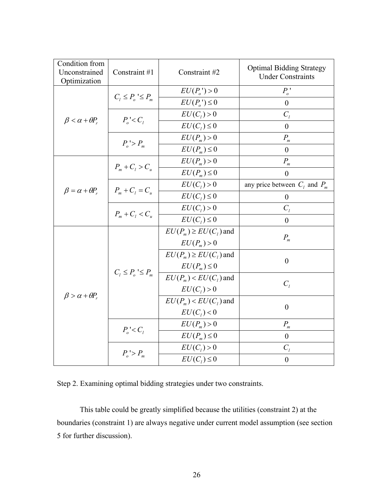| Condition from<br>Unconstrained<br>Optimization | Constraint #1                                                       | Constraint #2              | <b>Optimal Bidding Strategy</b><br><b>Under Constraints</b> |
|-------------------------------------------------|---------------------------------------------------------------------|----------------------------|-------------------------------------------------------------|
|                                                 |                                                                     | $EU(P_{o}^{\prime}) > 0$   | $P_{o}$ '                                                   |
|                                                 | $C_i \leq P_o \leq P_m$                                             | $EU(P_o') \leq 0$          | $\overline{0}$                                              |
| $\beta < \alpha + \theta P_r$                   | $P_{\scriptscriptstyle{\alpha}}$ '< $C_{\scriptscriptstyle{\beta}}$ | $EU(C_i) > 0$              | $C_{l}$                                                     |
|                                                 |                                                                     | $EU(C_i) \leq 0$           | $\boldsymbol{0}$                                            |
|                                                 | $P_{o} > P_{m}$                                                     | $EU(P_m) > 0$              | $P_m$                                                       |
|                                                 |                                                                     | $EU(P_m) \leq 0$           | $\overline{0}$                                              |
|                                                 | $P_m + C_1 > C_u$                                                   | $EU(P_m) > 0$              | $P_m$                                                       |
|                                                 |                                                                     | $EU(P_m) \leq 0$           | $\overline{0}$                                              |
| $\beta = \alpha + \theta P_r$                   | $P_{m} + C_{i} = C_{u}$                                             | $EU(C_i) > 0$              | any price between $C_i$ and $P_m$                           |
|                                                 |                                                                     | $EU(C_i) \leq 0$           | $\overline{0}$                                              |
|                                                 | $P_{m} + C_{1} < C_{u}$                                             | $EU(C_i) > 0$              | $C_{I}$                                                     |
|                                                 |                                                                     | $EU(C_i) \leq 0$           | $\theta$                                                    |
|                                                 |                                                                     | $EU(P_m) \geq EU(C_i)$ and | $P_{m}$                                                     |
|                                                 |                                                                     | $EU(P_m) > 0$              |                                                             |
|                                                 |                                                                     | $EU(P_m) \geq EU(C_l)$ and |                                                             |
|                                                 |                                                                     | $EU(P_m) \leq 0$           | $\boldsymbol{0}$                                            |
|                                                 | $C_i \leq P_{\scriptscriptstyle \alpha} \leq P_m$                   | $EU(P_m) < EU(C_l)$ and    | $C_i$                                                       |
| $\beta > \alpha + \theta P_r$                   |                                                                     | $EU(C_i) > 0$              |                                                             |
|                                                 |                                                                     | $EU(P_m) < EU(C_l)$ and    |                                                             |
|                                                 |                                                                     | $EU(C_i) < 0$              | $\boldsymbol{0}$                                            |
|                                                 | $P_{\scriptscriptstyle\alpha}$ '< $C_{\scriptscriptstyle\beta}$     | $EU(P_m) > 0$              | $P_m$                                                       |
|                                                 |                                                                     | $EU(P_m) \leq 0$           | $\theta$                                                    |
|                                                 |                                                                     | $EU(C_i) > 0$              | $C_{l}$                                                     |
|                                                 | $P_{o} > P_{m}$                                                     | $EU(C_i) \leq 0$           | $\boldsymbol{0}$                                            |

Step 2. Examining optimal bidding strategies under two constraints.

 This table could be greatly simplified because the utilities (constraint 2) at the boundaries (constraint 1) are always negative under current model assumption (see section 5 for further discussion).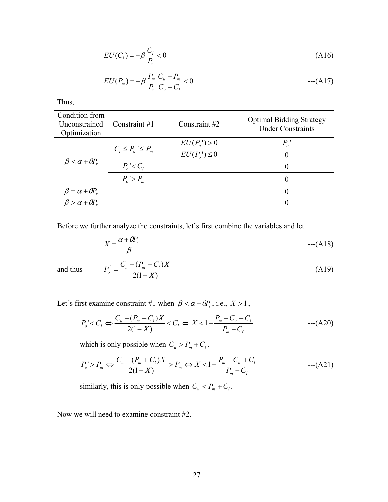$$
EU(C_i) = -\beta \frac{C_i}{P_r} < 0 \tag{A16}
$$

$$
EU(P_m) = -\beta \frac{P_m}{P_r} \frac{C_u - P_m}{C_u - C_l} < 0 \qquad \qquad \text{---}(A17)
$$

Thus,

| Condition from<br>Unconstrained<br>Optimization | Constraint #1           | Constraint #2            | <b>Optimal Bidding Strategy</b><br><b>Under Constraints</b> |
|-------------------------------------------------|-------------------------|--------------------------|-------------------------------------------------------------|
|                                                 |                         | $EU(P_{o}^{\prime}) > 0$ | $P_{o}$                                                     |
| $\beta < \alpha + \theta P_r$                   | $C_l \leq P_o \leq P_m$ | $EU(P_{o}) \leq 0$       |                                                             |
|                                                 | $P_{o}$ '< $C_{l}$      |                          |                                                             |
|                                                 | $P_{o} > P_{m}$         |                          |                                                             |
| $\beta = \alpha + \theta P_r$                   |                         |                          |                                                             |
| $\beta > \alpha + \theta P_r$                   |                         |                          |                                                             |

Before we further analyze the constraints, let's first combine the variables and let

$$
X = \frac{\alpha + \theta P_r}{\beta} \tag{A18}
$$

and thus

$$
P_o = \frac{C_u - (P_m + C_l)X}{2(1 - X)}
$$
---(A19)

Let's first examine constraint #1 when  $\beta < \alpha + \theta P_r$ , i.e.,  $X > 1$ ,

$$
P_o' < C_l \Leftrightarrow \frac{C_u - (P_m + C_l)X}{2(1 - X)} < C_l \Leftrightarrow X < 1 - \frac{P_m - C_u + C_l}{P_m - C_l} \qquad \qquad \text{---}(A20)
$$

which is only possible when  $C_u > P_m + C_l$ .

$$
P_o' > P_m \Leftrightarrow \frac{C_u - (P_m + C_l)X}{2(1 - X)} > P_m \Leftrightarrow X < 1 + \frac{P_m - C_u + C_l}{P_m - C_l} \qquad \qquad \text{---}(A21)
$$

similarly, this is only possible when  $C_u < P_m + C_l$ .

Now we will need to examine constraint #2.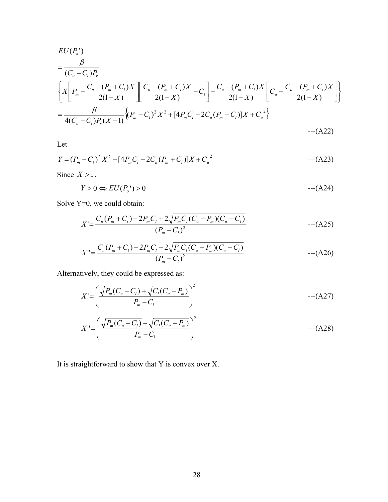$$
EU(Po)
$$
  
\n
$$
= \frac{\beta}{(C_u - C_l)P_r}
$$
  
\n
$$
\left\{ X \left[ P_m - \frac{C_u - (P_m + C_l)X}{2(1 - X)} \right] \left[ \frac{C_u - (P_m + C_l)X}{2(1 - X)} - C_l \right] - \frac{C_u - (P_m + C_l)X}{2(1 - X)} \left[ C_u - \frac{C_u - (P_m + C_l)X}{2(1 - X)} \right] \right\}
$$
  
\n
$$
= \frac{\beta}{4(C_u - C_l)P_r(X - 1)} \left\{ (P_m - C_l)^2 X^2 + [4P_m C_l - 2C_u (P_m + C_l)]X + C_u^2 \right\}
$$
---(A22)

Let

$$
Y = (P_m - C_l)^2 X^2 + [4P_m C_l - 2C_u (P_m + C_l)]X + C_u^2
$$
---(A23)

Since  $X > 1$ ,

$$
Y > 0 \Leftrightarrow EU(P_o') > 0 \qquad \qquad ---(A24)
$$

Solve Y=0, we could obtain:

$$
X' = \frac{C_u (P_m + C_l) - 2P_m C_l + 2\sqrt{P_m C_l (C_u - P_m)(C_u - C_l)}}{(P_m - C_l)^2}
$$
---(A25)

$$
X'' = \frac{C_u(P_m + C_l) - 2P_m C_l - 2\sqrt{P_m C_l (C_u - P_m)(C_u - C_l)}}{(P_m - C_l)^2}
$$
---(A26)

Alternatively, they could be expressed as:

$$
X' = \left(\frac{\sqrt{P_m(C_u - C_l)} + \sqrt{C_l(C_u - P_m)}}{P_m - C_l}\right)^2
$$
---(A27)

$$
X'' = \left(\frac{\sqrt{P_m(C_u - C_l)} - \sqrt{C_l(C_u - P_m)}}{P_m - C_l}\right)^2
$$
---(A28)

It is straightforward to show that Y is convex over X.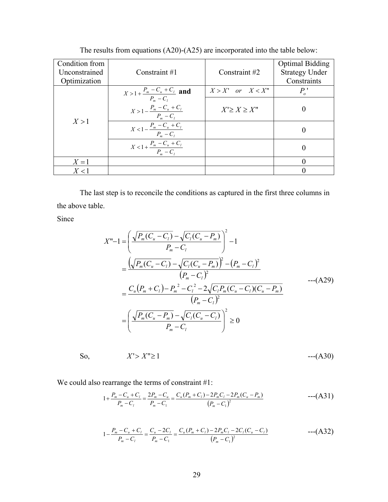| Condition from<br>Unconstrained | Constraint $#1$                                 | Constraint $#2$       | <b>Optimal Bidding</b><br><b>Strategy Under</b> |
|---------------------------------|-------------------------------------------------|-----------------------|-------------------------------------------------|
| Optimization                    |                                                 |                       | Constraints                                     |
|                                 | $X > 1 + \frac{P_m - C_u + C_l}{P_m - C_l}$ and | $X > X'$ or $X < X''$ | $P_o'$                                          |
| X > 1                           | $X > 1 - \frac{P_m - C_u + C_l}{P_m - C_l}$     | $X' \geq X \geq X''$  |                                                 |
|                                 | $X < 1 - \frac{P_m - C_u + C_l}{P_m - C_l}$     |                       | 0                                               |
|                                 | $X < 1 + \frac{P_m - C_u + C_l}{P_m - C_l}$     |                       | 0                                               |
| $X=1$                           |                                                 |                       |                                                 |
| X<1                             |                                                 |                       |                                                 |

The results from equations (A20)-(A25) are incorporated into the table below:

The last step is to reconcile the conditions as captured in the first three columns in the above table.

Since

$$
X''-1 = \left(\frac{\sqrt{P_m(C_u - C_l)} - \sqrt{C_l(C_u - P_m)}}{P_m - C_l}\right)^2 - 1
$$
  
= 
$$
\frac{\left(\sqrt{P_m(C_u - C_l)} - \sqrt{C_l(C_u - P_m)}\right)^2 - (P_m - C_l)^2}{(P_m - C_l)^2}
$$
  
= 
$$
\frac{C_u(P_m + C_l) - P_m^2 - C_l^2 - 2\sqrt{C_l P_m(C_u - C_l)(C_u - P_m)}}{(P_m - C_l)^2}
$$
---(A29)  
= 
$$
\left(\frac{\sqrt{P_m(C_u - P_m)} - \sqrt{C_l(C_u - C_l)}}{P_m - C_l}\right)^2 \ge 0
$$

So, 
$$
X' > X'' \ge 1
$$
---(A30)

We could also rearrange the terms of constraint #1:

$$
1 + \frac{P_m - C_u + C_l}{P_m - C_l} = \frac{2P_m - C_u}{P_m - C_l} = \frac{C_u (P_m + C_l) - 2P_m (C_l - 2P_m (C_u - P_m))}{(P_m - C_l)^2} \qquad \qquad \text{---(A31)}
$$

$$
1 - \frac{P_m - C_u + C_l}{P_m - C_l} = \frac{C_u - 2C_l}{P_m - C_l} = \frac{C_u (P_m + C_l) - 2P_m C_l - 2C_l (C_u - C_l)}{(P_m - C_l)^2}
$$
---(A32)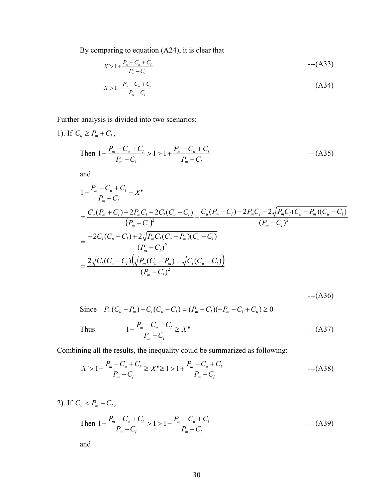By comparing to equation (A24), it is clear that

$$
X'>1+\frac{P_m-C_u+C_l}{P_m-C_l}
$$
---(A33)

$$
X' > 1 - \frac{P_m - C_u + C_l}{P_m - C_l} \qquad \qquad ---(A34)
$$

Further analysis is divided into two scenarios:

1). If 
$$
C_u \ge P_m + C_l
$$
,  
\nThen  $1 - \frac{P_m - C_u + C_l}{P_m - C_l} > 1 > 1 + \frac{P_m - C_u + C_l}{P_m - C_l}$  ---(A35)

and

$$
1 - \frac{P_m - C_u + C_l}{P_m - C_l} - X^{\text{tr}}
$$
  
= 
$$
\frac{C_u (P_m + C_l) - 2P_m C_l - 2C_l (C_u - C_l)}{(P_m - C_l)^2} - \frac{C_u (P_m + C_l) - 2P_m C_l - 2\sqrt{P_m C_l (C_u - P_m)(C_u - C_l)}}{(P_m - C_l)^2}
$$
  
= 
$$
\frac{-2C_l (C_u - C_l) + 2\sqrt{P_m C_l (C_u - P_m)(C_u - C_l)}}{(P_m - C_l)^2}
$$
  
= 
$$
\frac{2\sqrt{C_l (C_u - C_l)} (\sqrt{P_m (C_u - P_m)} - \sqrt{C_l (C_u - C_l)})}{(P_m - C_l)^2}
$$

 $-(-A36)$ 

Since  $P_m (C_u - P_m) - C_l (C_u - C_l) = (P_m - C_l)(-P_m - C_l + C_u) \ge 0$ 

Thus 
$$
1 - \frac{P_m - C_u + C_l}{P_m - C_l} \ge X^{\prime\prime}
$$
 ---(A37)

Combining all the results, the inequality could be summarized as following:

$$
X' > 1 - \frac{P_m - C_u + C_l}{P_m - C_l} \ge X'' \ge 1 > 1 + \frac{P_m - C_u + C_l}{P_m - C_l}
$$
---(A38)

2). If  $C_u < P_m + C_l$ ,

Then 
$$
1 + \frac{P_m - C_u + C_l}{P_m - C_l} > 1 > 1 - \frac{P_m - C_u + C_l}{P_m - C_l}
$$
 ---(A39)

and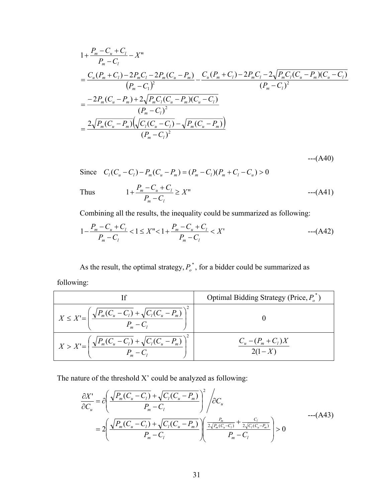$$
1 + \frac{P_m - C_u + C_l}{P_m - C_l} - X^{\text{tr}}
$$
  
= 
$$
\frac{C_u (P_m + C_l) - 2P_m C_l - 2P_m (C_u - P_m)}{(P_m - C_l)^2} - \frac{C_u (P_m + C_l) - 2P_m C_l - 2\sqrt{P_m C_l (C_u - P_m)(C_u - C_l)}}{(P_m - C_l)^2}
$$
  
= 
$$
\frac{-2P_m (C_u - P_m) + 2\sqrt{P_m C_l (C_u - P_m)(C_u - C_l)}}{(P_m - C_l)^2}
$$
  
= 
$$
\frac{2\sqrt{P_m (C_u - P_m)}(\sqrt{C_l (C_u - C_l)} - \sqrt{P_m (C_u - P_m)})}{(P_m - C_l)^2}
$$

 $-(-A40)$ 

Since  $C_l(C_u - C_l) - P_m(C_u - P_m) = (P_m - C_l)(P_m + C_l - C_u) > 0$ 

Thus 
$$
1 + \frac{P_m - C_u + C_l}{P_m - C_l} \ge X^m
$$
 ---(A41)

Combining all the results, the inequality could be summarized as following:

$$
1 - \frac{P_m - C_u + C_l}{P_m - C_l} < 1 \le X'' < 1 + \frac{P_m - C_u + C_l}{P_m - C_l} < X' \tag{A42}
$$

As the result, the optimal strategy,  $P_o^*$ , for a bidder could be summarized as

following:

|                                                                                                | Optimal Bidding Strategy (Price, $P_a^{\dagger}$ ) |
|------------------------------------------------------------------------------------------------|----------------------------------------------------|
| $X \leq X' = \left( \frac{\sqrt{P_m(C_u - C_l)} + \sqrt{C_l(C_u - P_m)}}{P_m - C_l} \right)^2$ |                                                    |
| $X > X' = \left(\frac{\sqrt{P_m(C_u - C_l)} + \sqrt{C_l(C_u - P_m)}}{P_m - C_l}\right)^2$      | $C_u - (P_m + C_l)X$<br>$2(1-X)$                   |

The nature of the threshold X' could be analyzed as following:

$$
\frac{\partial X'}{\partial C_u} = \partial \left( \frac{\sqrt{P_m(C_u - C_l)} + \sqrt{C_l(C_u - P_m)}}{P_m - C_l} \right)^2 / \partial C_u
$$
  
= 
$$
2 \left( \frac{\sqrt{P_m(C_u - C_l)} + \sqrt{C_l(C_u - P_m)}}{P_m - C_l} \right) \left( \frac{\frac{P_m}{2\sqrt{P_m(C_u - C_l)}} + \frac{C_l}{2\sqrt{C_l(C_u - P_m)}}}{P_m - C_l} \right) > 0
$$
---(A43)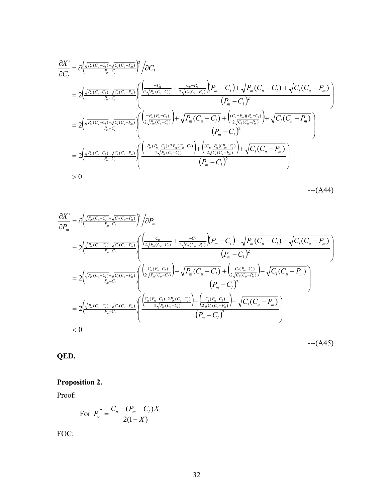$$
\frac{\partial X'}{\partial C_l} = \partial \left( \frac{\sqrt{P_m(C_u - C_l)} + \sqrt{C_l(C_u - P_m)}}{P_m - C_l} \right)^2 / \partial C_l \n= 2 \left( \frac{\sqrt{P_m(C_u - C_l)} + \sqrt{C_l(C_u - P_m)}}{P_m - C_l} \right) \left( \frac{\frac{-P_m}{2\sqrt{P_m(C_u - C_l)}} + \frac{C_u - P_m}{2\sqrt{C_l(C_u - P_m)}}}{2\sqrt{C_l(C_u - P_m)}} \right) \left( P_m - C_l \right)^2 \n= 2 \left( \frac{\sqrt{P_m(C_u - C_l)} + \sqrt{C_l(C_u - P_m)}}{P_m - C_l} \right) \left( \frac{\frac{-P_m(P_m - C_l)}{2\sqrt{P_m(C_u - C_l)}} + \sqrt{P_m(C_u - C_l)}}{2\sqrt{P_m(C_u - C_l)}} + \left( \frac{(C_u - P_m)(P_m - C_l)}{2\sqrt{C_l(C_u - P_m)}} \right) + \sqrt{C_l(C_u - P_m)}}{P_m - C_l} \right) \n= 2 \left( \frac{\sqrt{P_m(C_u - C_l)} + \sqrt{C_l(C_u - P_m)}}{P_m - C_l} \right) \left( \frac{\frac{-P_m(P_m - C_l)}{2\sqrt{P_m(C_u - C_l)}} + \left( \frac{(C_u - P_m)(P_m - C_l)}{2\sqrt{C_l(C_u - P_m)}} \right) + \sqrt{C_l(C_u - P_m)}}{2\sqrt{P_m(C_u - C_l)}} \right)}{\left( P_m - C_l \right)^2} \n>0
$$

---(A44)

$$
\frac{\partial X'}{\partial P_m} = \partial \left( \frac{\sqrt{P_m(C_u - C_l)} + \sqrt{C_l(C_u - P_m)}}{P_m - C_l} \right)^2 / \partial P_m
$$
\n
$$
= 2 \left( \frac{\sqrt{P_m(C_u - C_l)} + \sqrt{C_l(C_u - P_m)}}{P_m - C_l} \right) \left( \frac{\frac{C_u}{2\sqrt{P_m(C_u - C_l)}} + \frac{-C_l}{2\sqrt{C_l(C_u - P_m)}}}{P_m - C_l} \right) \left( \frac{P_m - C_l}{P_m - C_l} \right)^2
$$
\n
$$
= 2 \left( \frac{\sqrt{P_m(C_u - C_l)} + \sqrt{C_l(C_u - P_m)}}{P_m - C_l} \right) \left( \frac{\frac{C_u(P_m - C_l)}{2\sqrt{P_m(C_u - C_l)}} - \sqrt{P_m(C_u - C_l)}}{P_m - C_l} + \frac{\frac{-C_l(P_m - C_l)}{2\sqrt{C_l(C_u - P_m)}}}{P_m - C_l} \right)^2
$$
\n
$$
= 2 \left( \frac{\sqrt{P_m(C_u - C_l)} + \sqrt{C_l(C_u - P_m)}}{P_m - C_l} \right) \left( \frac{\frac{C_u(P_m - C_l) - 2P_m(C_u - C_l)}{2\sqrt{P_m(C_u - C_l)}} - \frac{C_l(P_m - C_l)}{2\sqrt{C_l(C_u - P_m)}}}{P_m - C_l} \right)^2}{(P_m - C_l)^2}
$$
\n
$$
< 0
$$

---(A45)

**QED.** 

**Proposition 2.** 

Proof:

For 
$$
P_o^* = \frac{C_u - (P_m + C_l)X}{2(1 - X)}
$$

FOC: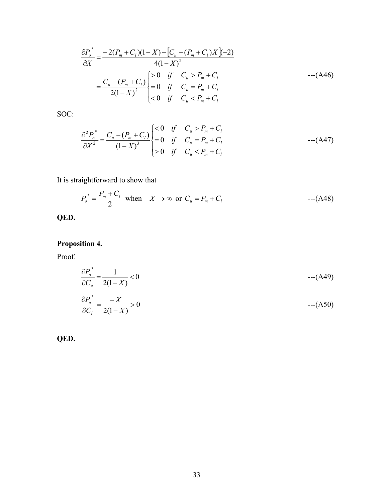$$
\frac{\partial P_o^*}{\partial X} = \frac{-2(P_m + C_l)(1 - X) - [C_u - (P_m + C_l)X](-2)}{4(1 - X)^2}
$$
  
=  $\frac{C_u - (P_m + C_l)}{2(1 - X)^2}$   $\begin{cases} > 0 & \text{if } C_u > P_m + C_l \\ = 0 & \text{if } C_u = P_m + C_l \\ < 0 & \text{if } C_u < P_m + C_l \end{cases}$ ---(A46)

SOC:

$$
\frac{\partial^2 P_o^*}{\partial X^2} = \frac{C_u - (P_m + C_l)}{(1 - X)^3} \begin{cases} < 0 & \text{if } C_u > P_m + C_l \\ = 0 & \text{if } C_u = P_m + C_l \\ > 0 & \text{if } C_u < P_m + C_l \end{cases}
$$
---(A47)

It is straightforward to show that

$$
P_o^* = \frac{P_m + C_l}{2} \text{ when } X \to \infty \text{ or } C_u = P_m + C_l \qquad \text{---}(A48)
$$

**QED.** 

# **Proposition 4.**

Proof:

$$
\frac{\partial P_o^*}{\partial C_u} = \frac{1}{2(1-X)} < 0
$$
\n---(A49)\n
$$
\frac{\partial P_o^*}{\partial C_l} = \frac{-X}{2(1-X)} > 0
$$
\n---(A50)

**QED.**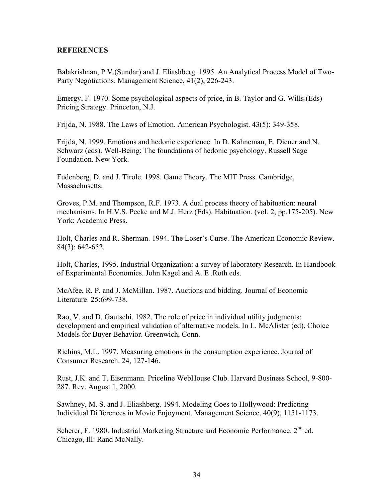# **REFERENCES**

Balakrishnan, P.V.(Sundar) and J. Eliashberg. 1995. An Analytical Process Model of Two-Party Negotiations. Management Science, 41(2), 226-243.

Emergy, F. 1970. Some psychological aspects of price, in B. Taylor and G. Wills (Eds) Pricing Strategy. Princeton, N.J.

Frijda, N. 1988. The Laws of Emotion. American Psychologist. 43(5): 349-358.

Frijda, N. 1999. Emotions and hedonic experience. In D. Kahneman, E. Diener and N. Schwarz (eds). Well-Being: The foundations of hedonic psychology. Russell Sage Foundation. New York.

Fudenberg, D. and J. Tirole. 1998. Game Theory. The MIT Press. Cambridge, Massachusetts.

Groves, P.M. and Thompson, R.F. 1973. A dual process theory of habituation: neural mechanisms. In H.V.S. Peeke and M.J. Herz (Eds). Habituation. (vol. 2, pp.175-205). New York: Academic Press.

Holt, Charles and R. Sherman. 1994. The Loser's Curse. The American Economic Review. 84(3): 642-652.

Holt, Charles, 1995. Industrial Organization: a survey of laboratory Research. In Handbook of Experimental Economics. John Kagel and A. E .Roth eds.

McAfee, R. P. and J. McMillan. 1987. Auctions and bidding. Journal of Economic Literature. 25:699-738.

Rao, V. and D. Gautschi. 1982. The role of price in individual utility judgments: development and empirical validation of alternative models. In L. McAlister (ed), Choice Models for Buyer Behavior. Greenwich, Conn.

Richins, M.L. 1997. Measuring emotions in the consumption experience. Journal of Consumer Research. 24, 127-146.

Rust, J.K. and T. Eisenmann. Priceline WebHouse Club. Harvard Business School, 9-800- 287. Rev. August 1, 2000.

Sawhney, M. S. and J. Eliashberg. 1994. Modeling Goes to Hollywood: Predicting Individual Differences in Movie Enjoyment. Management Science, 40(9), 1151-1173.

Scherer, F. 1980. Industrial Marketing Structure and Economic Performance. 2<sup>nd</sup> ed. Chicago, Ill: Rand McNally.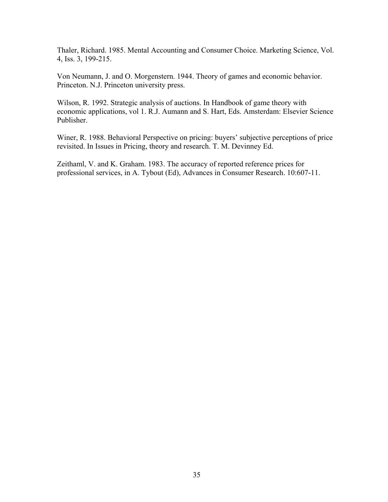Thaler, Richard. 1985. Mental Accounting and Consumer Choice. Marketing Science, Vol. 4, Iss. 3, 199-215.

Von Neumann, J. and O. Morgenstern. 1944. Theory of games and economic behavior. Princeton. N.J. Princeton university press.

Wilson, R. 1992. Strategic analysis of auctions. In Handbook of game theory with economic applications, vol 1. R.J. Aumann and S. Hart, Eds. Amsterdam: Elsevier Science Publisher.

Winer, R. 1988. Behavioral Perspective on pricing: buyers' subjective perceptions of price revisited. In Issues in Pricing, theory and research. T. M. Devinney Ed.

Zeithaml, V. and K. Graham. 1983. The accuracy of reported reference prices for professional services, in A. Tybout (Ed), Advances in Consumer Research. 10:607-11.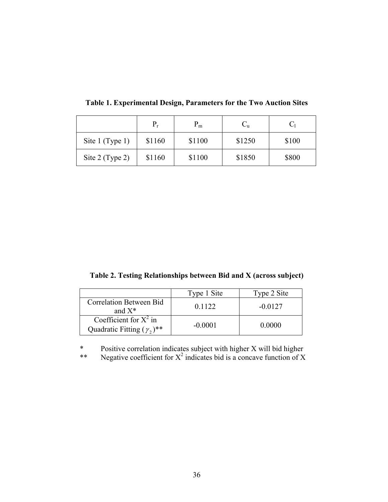|                   | $P_r$  | $P_{m}$ | $\cup_{\mathrm{u}}$ |       |
|-------------------|--------|---------|---------------------|-------|
| Site $1$ (Type 1) | \$1160 | \$1100  | \$1250              | \$100 |
| Site $2$ (Type 2) | \$1160 | \$1100  | \$1850              | \$800 |

**Table 1. Experimental Design, Parameters for the Two Auction Sites**

**Table 2. Testing Relationships between Bid and X (across subject)** 

|                                                                 | Type 1 Site | Type 2 Site |
|-----------------------------------------------------------------|-------------|-------------|
| <b>Correlation Between Bid</b><br>and $X^*$                     | 0.1122      | $-0.0127$   |
| Coefficient for $X^2$ in<br>Quadratic Fitting $(\gamma_2)^{**}$ | $-0.0001$   | 0.0000      |

\* Positive correlation indicates subject with higher X will bid higher

\*\* Negative coefficient for  $X^2$  indicates bid is a concave function of X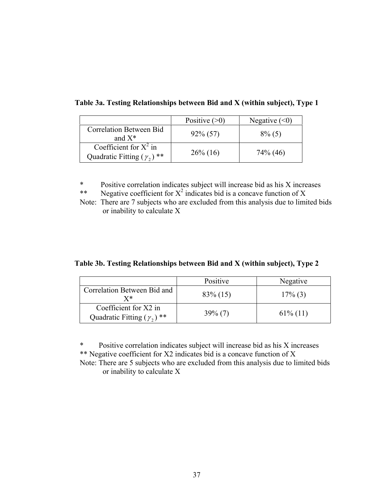|  |  | Table 3a. Testing Relationships between Bid and X (within subject), Type 1 |  |
|--|--|----------------------------------------------------------------------------|--|
|  |  |                                                                            |  |
|  |  |                                                                            |  |
|  |  |                                                                            |  |

|                                                               | Positive $(>0)$ | Negative $(<0)$ |
|---------------------------------------------------------------|-----------------|-----------------|
| <b>Correlation Between Bid</b><br>and $X^*$                   | $92\% (57)$     | $8\%$ (5)       |
| Coefficient for $X^2$ in<br>Quadratic Fitting $(\gamma_2)$ ** | $26\%$ (16)     | 74\% (46)       |

- \* Positive correlation indicates subject will increase bid as his X increases<br>\*\* Negative coefficient for  $X^2$  indicates bid is a concave function of X
- \*\* Negative coefficient for  $X^2$  indicates bid is a concave function of X
- Note: There are 7 subjects who are excluded from this analysis due to limited bids or inability to calculate X

**Table 3b. Testing Relationships between Bid and X (within subject), Type 2** 

|                                                            | Positive    | Negative    |
|------------------------------------------------------------|-------------|-------------|
| Correlation Between Bid and<br>¥*                          | $83\%$ (15) | $17\%$ (3)  |
| Coefficient for X2 in<br>Quadratic Fitting $(\gamma_2)$ ** | $39\%$ (7)  | $61\%$ (11) |

\* Positive correlation indicates subject will increase bid as his X increases \*\* Negative coefficient for X2 indicates bid is a concave function of X

Note: There are 5 subjects who are excluded from this analysis due to limited bids or inability to calculate X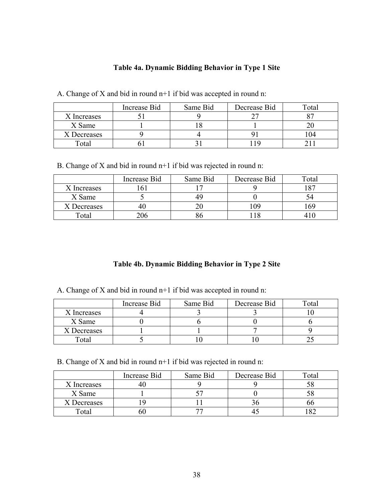# **Table 4a. Dynamic Bidding Behavior in Type 1 Site**

|             | Increase Bid | Same Bid | Decrease Bid | $\tau_{\text{otal}}$ |
|-------------|--------------|----------|--------------|----------------------|
| X Increases |              |          |              |                      |
| X Same      |              |          |              |                      |
| X Decreases |              |          |              | 04                   |
| Total       |              |          |              |                      |

A. Change of X and bid in round n+1 if bid was accepted in round n:

B. Change of X and bid in round n+1 if bid was rejected in round n:

|                        | Increase Bid | Same Bid    | Decrease Bid | otal           |
|------------------------|--------------|-------------|--------------|----------------|
| X Increases            |              |             |              | O <sub>7</sub> |
| X Same                 |              | $4^{\circ}$ |              |                |
| X Decreases            |              |             |              |                |
| $\tau$ <sub>otal</sub> |              |             |              |                |

# **Table 4b. Dynamic Bidding Behavior in Type 2 Site**

A. Change of X and bid in round n+1 if bid was accepted in round n:

|                      | Increase Bid | Same Bid | Decrease Bid | Total |
|----------------------|--------------|----------|--------------|-------|
| X Increases          |              |          |              |       |
| X Same               |              |          |              |       |
| X Decreases          |              |          |              |       |
| $\tau_{\text{otal}}$ |              |          |              |       |

B. Change of X and bid in round n+1 if bid was rejected in round n:

|             | Increase Bid | Same Bid | Decrease Bid | Total |
|-------------|--------------|----------|--------------|-------|
| X Increases |              |          |              |       |
| X Same      |              |          |              |       |
| X Decreases |              |          |              |       |
| Total       |              |          |              |       |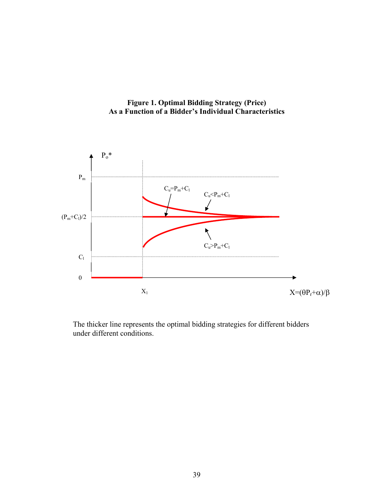

**Figure 1. Optimal Bidding Strategy (Price) As a Function of a Bidder's Individual Characteristics** 

The thicker line represents the optimal bidding strategies for different bidders under different conditions.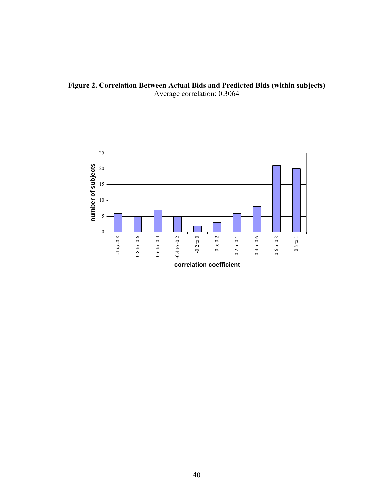**Figure 2. Correlation Between Actual Bids and Predicted Bids (within subjects)**  Average correlation: 0.3064

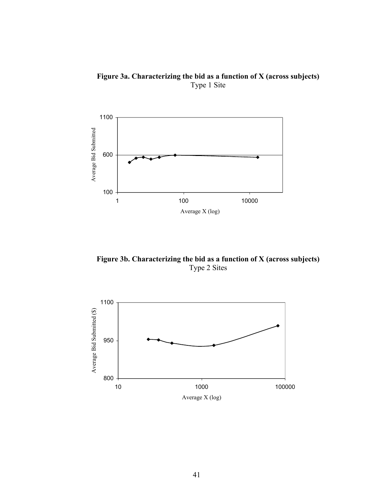

**Figure 3a. Characterizing the bid as a function of X (across subjects)**  Type 1 Site

**Figure 3b. Characterizing the bid as a function of X (across subjects)**  Type 2 Sites

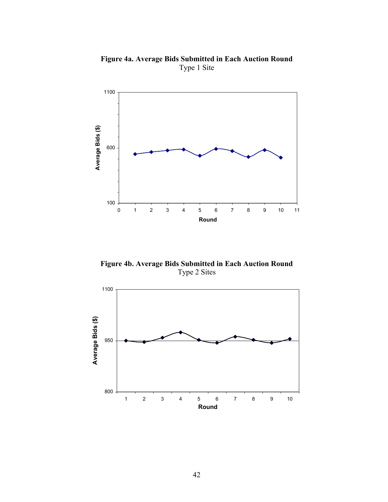

**Figure 4a. Average Bids Submitted in Each Auction Round**  Type 1 Site

**Figure 4b. Average Bids Submitted in Each Auction Round**  Type 2 Sites